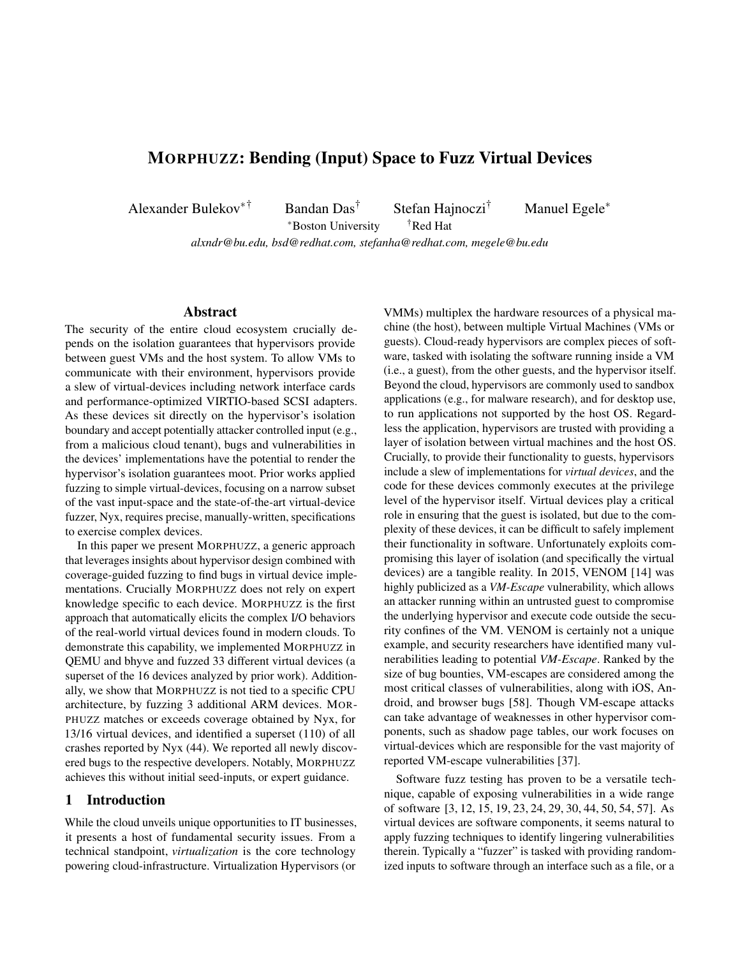# MORPHUZZ: Bending (Input) Space to Fuzz Virtual Devices

Alexander Bulekov∗† Bandan Das† Stefan Hajnoczi† Manuel Egele<sup>∗</sup>

<sup>∗</sup>Boston University †Red Hat *alxndr@bu.edu, bsd@redhat.com, stefanha@redhat.com, megele@bu.edu*

### Abstract

The security of the entire cloud ecosystem crucially depends on the isolation guarantees that hypervisors provide between guest VMs and the host system. To allow VMs to communicate with their environment, hypervisors provide a slew of virtual-devices including network interface cards and performance-optimized VIRTIO-based SCSI adapters. As these devices sit directly on the hypervisor's isolation boundary and accept potentially attacker controlled input (e.g., from a malicious cloud tenant), bugs and vulnerabilities in the devices' implementations have the potential to render the hypervisor's isolation guarantees moot. Prior works applied fuzzing to simple virtual-devices, focusing on a narrow subset of the vast input-space and the state-of-the-art virtual-device fuzzer, Nyx, requires precise, manually-written, specifications to exercise complex devices.

In this paper we present MORPHUZZ, a generic approach that leverages insights about hypervisor design combined with coverage-guided fuzzing to find bugs in virtual device implementations. Crucially MORPHUZZ does not rely on expert knowledge specific to each device. MORPHUZZ is the first approach that automatically elicits the complex I/O behaviors of the real-world virtual devices found in modern clouds. To demonstrate this capability, we implemented MORPHUZZ in QEMU and bhyve and fuzzed 33 different virtual devices (a superset of the 16 devices analyzed by prior work). Additionally, we show that MORPHUZZ is not tied to a specific CPU architecture, by fuzzing 3 additional ARM devices. MOR-PHUZZ matches or exceeds coverage obtained by Nyx, for 13/16 virtual devices, and identified a superset (110) of all crashes reported by Nyx (44). We reported all newly discovered bugs to the respective developers. Notably, MORPHUZZ achieves this without initial seed-inputs, or expert guidance.

### 1 Introduction

While the cloud unveils unique opportunities to IT businesses, it presents a host of fundamental security issues. From a technical standpoint, *virtualization* is the core technology powering cloud-infrastructure. Virtualization Hypervisors (or

VMMs) multiplex the hardware resources of a physical machine (the host), between multiple Virtual Machines (VMs or guests). Cloud-ready hypervisors are complex pieces of software, tasked with isolating the software running inside a VM (i.e., a guest), from the other guests, and the hypervisor itself. Beyond the cloud, hypervisors are commonly used to sandbox applications (e.g., for malware research), and for desktop use, to run applications not supported by the host OS. Regardless the application, hypervisors are trusted with providing a layer of isolation between virtual machines and the host OS. Crucially, to provide their functionality to guests, hypervisors include a slew of implementations for *virtual devices*, and the code for these devices commonly executes at the privilege level of the hypervisor itself. Virtual devices play a critical role in ensuring that the guest is isolated, but due to the complexity of these devices, it can be difficult to safely implement their functionality in software. Unfortunately exploits compromising this layer of isolation (and specifically the virtual devices) are a tangible reality. In 2015, VENOM [\[14\]](#page-13-0) was highly publicized as a *VM-Escape* vulnerability, which allows an attacker running within an untrusted guest to compromise the underlying hypervisor and execute code outside the security confines of the VM. VENOM is certainly not a unique example, and security researchers have identified many vulnerabilities leading to potential *VM-Escape*. Ranked by the size of bug bounties, VM-escapes are considered among the most critical classes of vulnerabilities, along with iOS, Android, and browser bugs [\[58\]](#page-15-0). Though VM-escape attacks can take advantage of weaknesses in other hypervisor components, such as shadow page tables, our work focuses on virtual-devices which are responsible for the vast majority of reported VM-escape vulnerabilities [\[37\]](#page-14-0).

Software fuzz testing has proven to be a versatile technique, capable of exposing vulnerabilities in a wide range of software [\[3,](#page-13-1) [12,](#page-13-2) [15,](#page-13-3) [19,](#page-14-1) [23,](#page-14-2) [24,](#page-14-3) [29,](#page-14-4) [30,](#page-14-5) [44,](#page-15-1) [50,](#page-15-2) [54,](#page-15-3) [57\]](#page-15-4). As virtual devices are software components, it seems natural to apply fuzzing techniques to identify lingering vulnerabilities therein. Typically a "fuzzer" is tasked with providing randomized inputs to software through an interface such as a file, or a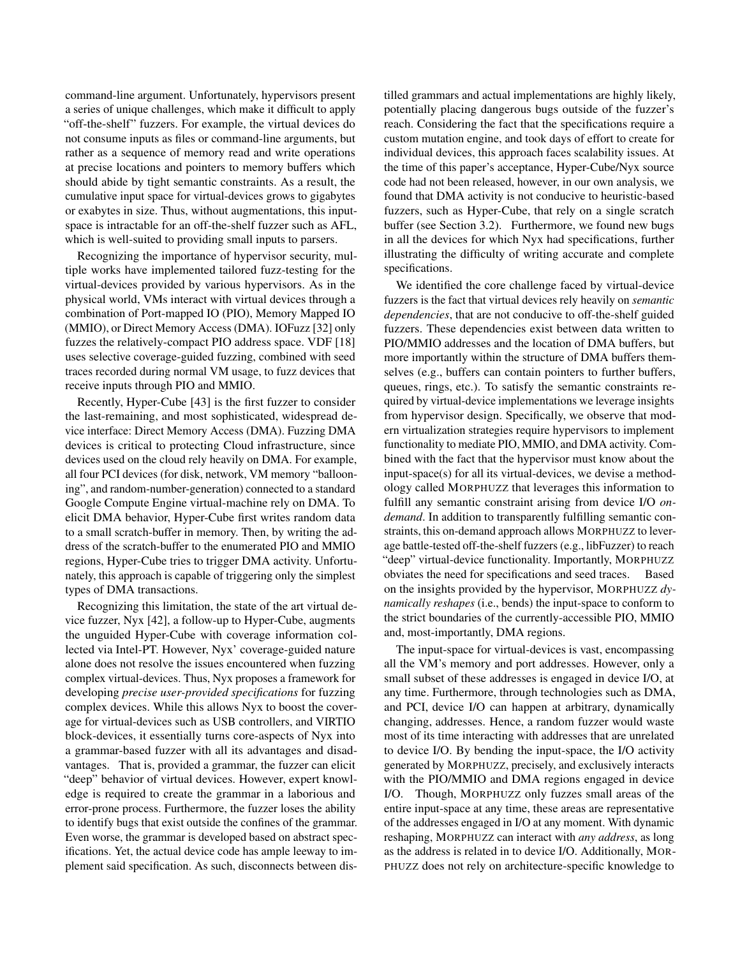command-line argument. Unfortunately, hypervisors present a series of unique challenges, which make it difficult to apply "off-the-shelf" fuzzers. For example, the virtual devices do not consume inputs as files or command-line arguments, but rather as a sequence of memory read and write operations at precise locations and pointers to memory buffers which should abide by tight semantic constraints. As a result, the cumulative input space for virtual-devices grows to gigabytes or exabytes in size. Thus, without augmentations, this inputspace is intractable for an off-the-shelf fuzzer such as AFL, which is well-suited to providing small inputs to parsers.

Recognizing the importance of hypervisor security, multiple works have implemented tailored fuzz-testing for the virtual-devices provided by various hypervisors. As in the physical world, VMs interact with virtual devices through a combination of Port-mapped IO (PIO), Memory Mapped IO (MMIO), or Direct Memory Access (DMA). IOFuzz [\[32\]](#page-14-6) only fuzzes the relatively-compact PIO address space. VDF [\[18\]](#page-14-7) uses selective coverage-guided fuzzing, combined with seed traces recorded during normal VM usage, to fuzz devices that receive inputs through PIO and MMIO.

Recently, Hyper-Cube [\[43\]](#page-15-5) is the first fuzzer to consider the last-remaining, and most sophisticated, widespread device interface: Direct Memory Access (DMA). Fuzzing DMA devices is critical to protecting Cloud infrastructure, since devices used on the cloud rely heavily on DMA. For example, all four PCI devices (for disk, network, VM memory "ballooning", and random-number-generation) connected to a standard Google Compute Engine virtual-machine rely on DMA. To elicit DMA behavior, Hyper-Cube first writes random data to a small scratch-buffer in memory. Then, by writing the address of the scratch-buffer to the enumerated PIO and MMIO regions, Hyper-Cube tries to trigger DMA activity. Unfortunately, this approach is capable of triggering only the simplest types of DMA transactions.

Recognizing this limitation, the state of the art virtual device fuzzer, Nyx [\[42\]](#page-15-6), a follow-up to Hyper-Cube, augments the unguided Hyper-Cube with coverage information collected via Intel-PT. However, Nyx' coverage-guided nature alone does not resolve the issues encountered when fuzzing complex virtual-devices. Thus, Nyx proposes a framework for developing *precise user-provided specifications* for fuzzing complex devices. While this allows Nyx to boost the coverage for virtual-devices such as USB controllers, and VIRTIO block-devices, it essentially turns core-aspects of Nyx into a grammar-based fuzzer with all its advantages and disadvantages. That is, provided a grammar, the fuzzer can elicit "deep" behavior of virtual devices. However, expert knowledge is required to create the grammar in a laborious and error-prone process. Furthermore, the fuzzer loses the ability to identify bugs that exist outside the confines of the grammar. Even worse, the grammar is developed based on abstract specifications. Yet, the actual device code has ample leeway to implement said specification. As such, disconnects between distilled grammars and actual implementations are highly likely, potentially placing dangerous bugs outside of the fuzzer's reach. Considering the fact that the specifications require a custom mutation engine, and took days of effort to create for individual devices, this approach faces scalability issues. At the time of this paper's acceptance, Hyper-Cube/Nyx source code had not been released, however, in our own analysis, we found that DMA activity is not conducive to heuristic-based fuzzers, such as Hyper-Cube, that rely on a single scratch buffer (see Section [3.2\)](#page-4-0). Furthermore, we found new bugs in all the devices for which Nyx had specifications, further illustrating the difficulty of writing accurate and complete specifications.

We identified the core challenge faced by virtual-device fuzzers is the fact that virtual devices rely heavily on *semantic dependencies*, that are not conducive to off-the-shelf guided fuzzers. These dependencies exist between data written to PIO/MMIO addresses and the location of DMA buffers, but more importantly within the structure of DMA buffers themselves (e.g., buffers can contain pointers to further buffers, queues, rings, etc.). To satisfy the semantic constraints required by virtual-device implementations we leverage insights from hypervisor design. Specifically, we observe that modern virtualization strategies require hypervisors to implement functionality to mediate PIO, MMIO, and DMA activity. Combined with the fact that the hypervisor must know about the input-space(s) for all its virtual-devices, we devise a methodology called MORPHUZZ that leverages this information to fulfill any semantic constraint arising from device I/O *ondemand*. In addition to transparently fulfilling semantic constraints, this on-demand approach allows MORPHUZZ to leverage battle-tested off-the-shelf fuzzers (e.g., libFuzzer) to reach "deep" virtual-device functionality. Importantly, MORPHUZZ obviates the need for specifications and seed traces. Based on the insights provided by the hypervisor, MORPHUZZ *dynamically reshapes* (i.e., bends) the input-space to conform to the strict boundaries of the currently-accessible PIO, MMIO and, most-importantly, DMA regions.

The input-space for virtual-devices is vast, encompassing all the VM's memory and port addresses. However, only a small subset of these addresses is engaged in device I/O, at any time. Furthermore, through technologies such as DMA, and PCI, device I/O can happen at arbitrary, dynamically changing, addresses. Hence, a random fuzzer would waste most of its time interacting with addresses that are unrelated to device I/O. By bending the input-space, the I/O activity generated by MORPHUZZ, precisely, and exclusively interacts with the PIO/MMIO and DMA regions engaged in device I/O. Though, MORPHUZZ only fuzzes small areas of the entire input-space at any time, these areas are representative of the addresses engaged in I/O at any moment. With dynamic reshaping, MORPHUZZ can interact with *any address*, as long as the address is related in to device I/O. Additionally, MOR-PHUZZ does not rely on architecture-specific knowledge to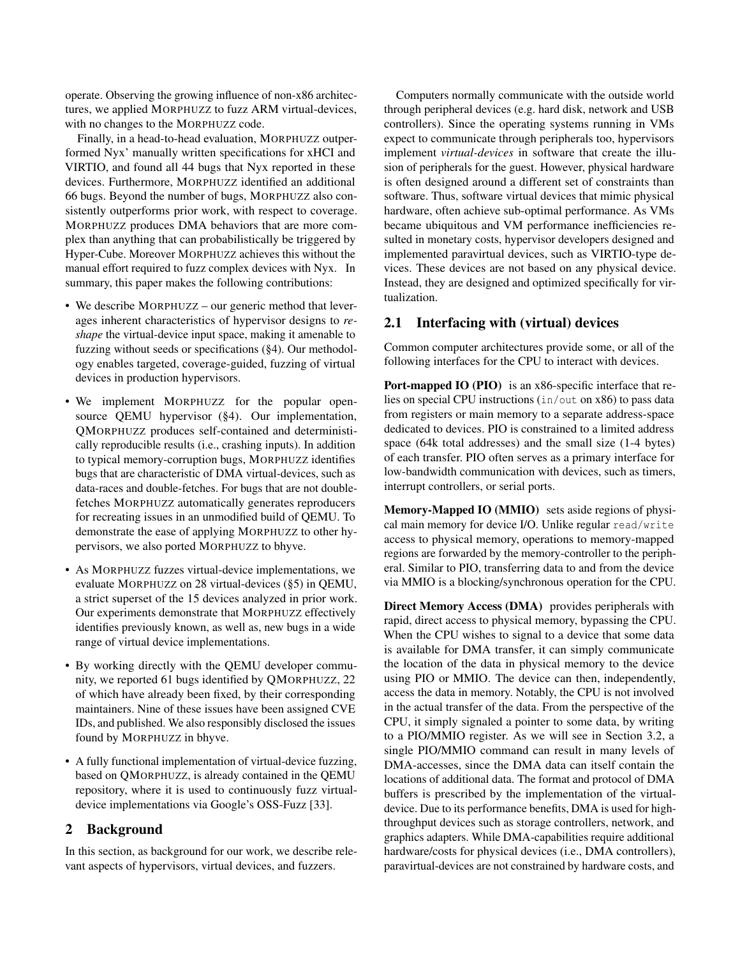operate. Observing the growing influence of non-x86 architectures, we applied MORPHUZZ to fuzz ARM virtual-devices, with no changes to the MORPHUZZ code.

Finally, in a head-to-head evaluation, MORPHUZZ outperformed Nyx' manually written specifications for xHCI and VIRTIO, and found all 44 bugs that Nyx reported in these devices. Furthermore, MORPHUZZ identified an additional 66 bugs. Beyond the number of bugs, MORPHUZZ also consistently outperforms prior work, with respect to coverage. MORPHUZZ produces DMA behaviors that are more complex than anything that can probabilistically be triggered by Hyper-Cube. Moreover MORPHUZZ achieves this without the manual effort required to fuzz complex devices with Nyx. In summary, this paper makes the following contributions:

- We describe MORPHUZZ our generic method that leverages inherent characteristics of hypervisor designs to *reshape* the virtual-device input space, making it amenable to fuzzing without seeds or specifications ([§4\)](#page-5-0). Our methodology enables targeted, coverage-guided, fuzzing of virtual devices in production hypervisors.
- We implement MORPHUZZ for the popular opensource QEMU hypervisor ([§4\)](#page-5-0). Our implementation, QMORPHUZZ produces self-contained and deterministically reproducible results (i.e., crashing inputs). In addition to typical memory-corruption bugs, MORPHUZZ identifies bugs that are characteristic of DMA virtual-devices, such as data-races and double-fetches. For bugs that are not doublefetches MORPHUZZ automatically generates reproducers for recreating issues in an unmodified build of QEMU. To demonstrate the ease of applying MORPHUZZ to other hypervisors, we also ported MORPHUZZ to bhyve.
- As MORPHUZZ fuzzes virtual-device implementations, we evaluate MORPHUZZ on 28 virtual-devices ([§5\)](#page-9-0) in QEMU, a strict superset of the 15 devices analyzed in prior work. Our experiments demonstrate that MORPHUZZ effectively identifies previously known, as well as, new bugs in a wide range of virtual device implementations.
- By working directly with the QEMU developer community, we reported 61 bugs identified by QMORPHUZZ, 22 of which have already been fixed, by their corresponding maintainers. Nine of these issues have been assigned CVE IDs, and published. We also responsibly disclosed the issues found by MORPHUZZ in bhyve.
- A fully functional implementation of virtual-device fuzzing, based on QMORPHUZZ, is already contained in the QEMU repository, where it is used to continuously fuzz virtualdevice implementations via Google's OSS-Fuzz [\[33\]](#page-14-8).

## 2 Background

In this section, as background for our work, we describe relevant aspects of hypervisors, virtual devices, and fuzzers.

Computers normally communicate with the outside world through peripheral devices (e.g. hard disk, network and USB controllers). Since the operating systems running in VMs expect to communicate through peripherals too, hypervisors implement *virtual-devices* in software that create the illusion of peripherals for the guest. However, physical hardware is often designed around a different set of constraints than software. Thus, software virtual devices that mimic physical hardware, often achieve sub-optimal performance. As VMs became ubiquitous and VM performance inefficiencies resulted in monetary costs, hypervisor developers designed and implemented paravirtual devices, such as VIRTIO-type devices. These devices are not based on any physical device. Instead, they are designed and optimized specifically for virtualization.

## <span id="page-2-0"></span>2.1 Interfacing with (virtual) devices

Common computer architectures provide some, or all of the following interfaces for the CPU to interact with devices.

Port-mapped IO (PIO) is an x86-specific interface that relies on special CPU instructions (in/out on x86) to pass data from registers or main memory to a separate address-space dedicated to devices. PIO is constrained to a limited address space (64k total addresses) and the small size (1-4 bytes) of each transfer. PIO often serves as a primary interface for low-bandwidth communication with devices, such as timers, interrupt controllers, or serial ports.

Memory-Mapped IO (MMIO) sets aside regions of physical main memory for device I/O. Unlike regular read/write access to physical memory, operations to memory-mapped regions are forwarded by the memory-controller to the peripheral. Similar to PIO, transferring data to and from the device via MMIO is a blocking/synchronous operation for the CPU.

Direct Memory Access (DMA) provides peripherals with rapid, direct access to physical memory, bypassing the CPU. When the CPU wishes to signal to a device that some data is available for DMA transfer, it can simply communicate the location of the data in physical memory to the device using PIO or MMIO. The device can then, independently, access the data in memory. Notably, the CPU is not involved in the actual transfer of the data. From the perspective of the CPU, it simply signaled a pointer to some data, by writing to a PIO/MMIO register. As we will see in Section [3.2,](#page-4-0) a single PIO/MMIO command can result in many levels of DMA-accesses, since the DMA data can itself contain the locations of additional data. The format and protocol of DMA buffers is prescribed by the implementation of the virtualdevice. Due to its performance benefits, DMA is used for highthroughput devices such as storage controllers, network, and graphics adapters. While DMA-capabilities require additional hardware/costs for physical devices (i.e., DMA controllers), paravirtual-devices are not constrained by hardware costs, and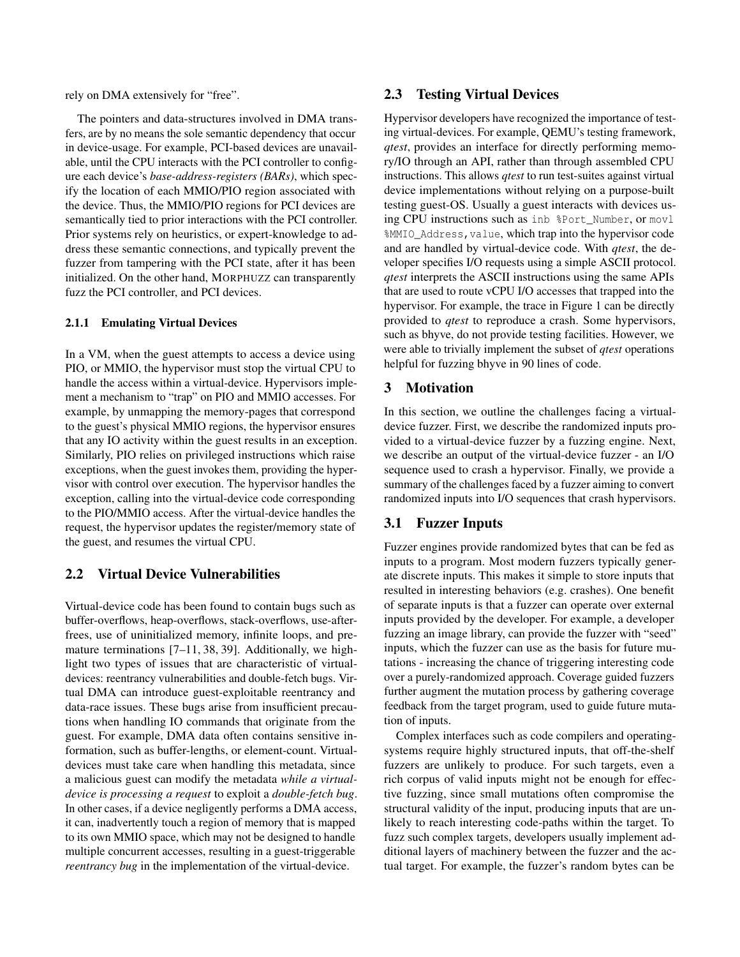rely on DMA extensively for "free".

The pointers and data-structures involved in DMA transfers, are by no means the sole semantic dependency that occur in device-usage. For example, PCI-based devices are unavailable, until the CPU interacts with the PCI controller to configure each device's *base-address-registers (BARs)*, which specify the location of each MMIO/PIO region associated with the device. Thus, the MMIO/PIO regions for PCI devices are semantically tied to prior interactions with the PCI controller. Prior systems rely on heuristics, or expert-knowledge to address these semantic connections, and typically prevent the fuzzer from tampering with the PCI state, after it has been initialized. On the other hand, MORPHUZZ can transparently fuzz the PCI controller, and PCI devices.

### 2.1.1 Emulating Virtual Devices

In a VM, when the guest attempts to access a device using PIO, or MMIO, the hypervisor must stop the virtual CPU to handle the access within a virtual-device. Hypervisors implement a mechanism to "trap" on PIO and MMIO accesses. For example, by unmapping the memory-pages that correspond to the guest's physical MMIO regions, the hypervisor ensures that any IO activity within the guest results in an exception. Similarly, PIO relies on privileged instructions which raise exceptions, when the guest invokes them, providing the hypervisor with control over execution. The hypervisor handles the exception, calling into the virtual-device code corresponding to the PIO/MMIO access. After the virtual-device handles the request, the hypervisor updates the register/memory state of the guest, and resumes the virtual CPU.

## 2.2 Virtual Device Vulnerabilities

<span id="page-3-1"></span>Virtual-device code has been found to contain bugs such as buffer-overflows, heap-overflows, stack-overflows, use-afterfrees, use of uninitialized memory, infinite loops, and premature terminations [\[7](#page-13-4)[–11,](#page-13-5) [38,](#page-14-9) [39\]](#page-14-10). Additionally, we highlight two types of issues that are characteristic of virtualdevices: reentrancy vulnerabilities and double-fetch bugs. Virtual DMA can introduce guest-exploitable reentrancy and data-race issues. These bugs arise from insufficient precautions when handling IO commands that originate from the guest. For example, DMA data often contains sensitive information, such as buffer-lengths, or element-count. Virtualdevices must take care when handling this metadata, since a malicious guest can modify the metadata *while a virtualdevice is processing a request* to exploit a *double-fetch bug*. In other cases, if a device negligently performs a DMA access, it can, inadvertently touch a region of memory that is mapped to its own MMIO space, which may not be designed to handle multiple concurrent accesses, resulting in a guest-triggerable *reentrancy bug* in the implementation of the virtual-device.

## 2.3 Testing Virtual Devices

Hypervisor developers have recognized the importance of testing virtual-devices. For example, QEMU's testing framework, *qtest*, provides an interface for directly performing memory/IO through an API, rather than through assembled CPU instructions. This allows *qtest* to run test-suites against virtual device implementations without relying on a purpose-built testing guest-OS. Usually a guest interacts with devices using CPU instructions such as inb %Port\_Number, or movl %MMIO\_Address,value, which trap into the hypervisor code and are handled by virtual-device code. With *qtest*, the developer specifies I/O requests using a simple ASCII protocol. *qtest* interprets the ASCII instructions using the same APIs that are used to route vCPU I/O accesses that trapped into the hypervisor. For example, the trace in Figure [1](#page-4-1) can be directly provided to *qtest* to reproduce a crash. Some hypervisors, such as bhyve, do not provide testing facilities. However, we were able to trivially implement the subset of *qtest* operations helpful for fuzzing bhyve in 90 lines of code.

### <span id="page-3-0"></span>3 Motivation

In this section, we outline the challenges facing a virtualdevice fuzzer. First, we describe the randomized inputs provided to a virtual-device fuzzer by a fuzzing engine. Next, we describe an output of the virtual-device fuzzer - an I/O sequence used to crash a hypervisor. Finally, we provide a summary of the challenges faced by a fuzzer aiming to convert randomized inputs into I/O sequences that crash hypervisors.

### 3.1 Fuzzer Inputs

Fuzzer engines provide randomized bytes that can be fed as inputs to a program. Most modern fuzzers typically generate discrete inputs. This makes it simple to store inputs that resulted in interesting behaviors (e.g. crashes). One benefit of separate inputs is that a fuzzer can operate over external inputs provided by the developer. For example, a developer fuzzing an image library, can provide the fuzzer with "seed" inputs, which the fuzzer can use as the basis for future mutations - increasing the chance of triggering interesting code over a purely-randomized approach. Coverage guided fuzzers further augment the mutation process by gathering coverage feedback from the target program, used to guide future mutation of inputs.

Complex interfaces such as code compilers and operatingsystems require highly structured inputs, that off-the-shelf fuzzers are unlikely to produce. For such targets, even a rich corpus of valid inputs might not be enough for effective fuzzing, since small mutations often compromise the structural validity of the input, producing inputs that are unlikely to reach interesting code-paths within the target. To fuzz such complex targets, developers usually implement additional layers of machinery between the fuzzer and the actual target. For example, the fuzzer's random bytes can be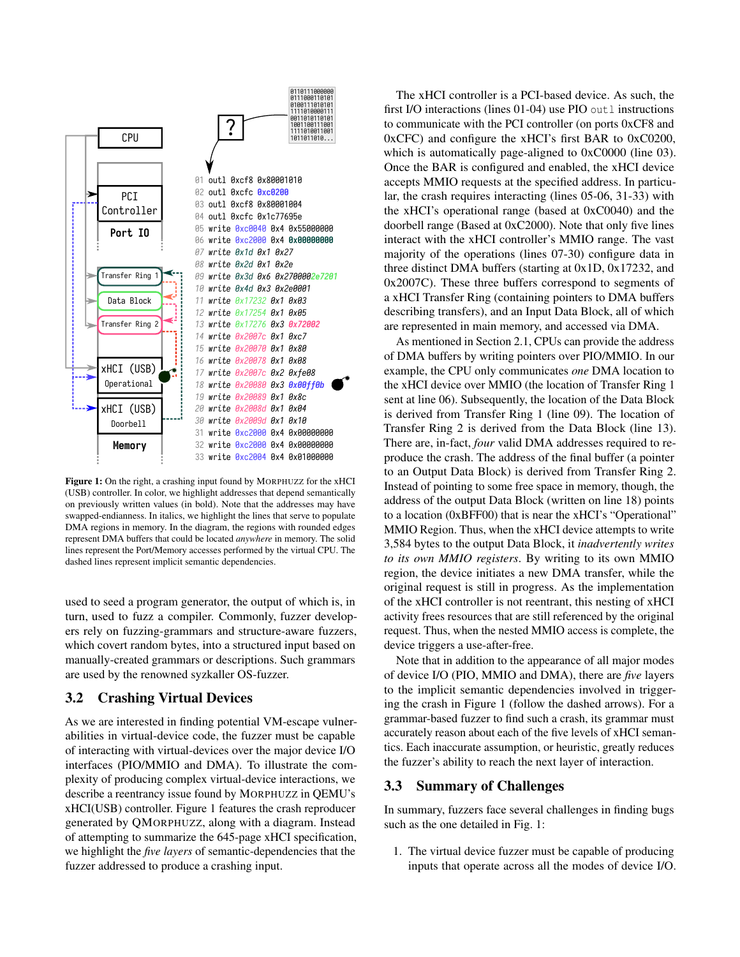<span id="page-4-1"></span>

Figure 1: On the right, a crashing input found by MORPHUZZ for the xHCI (USB) controller. In color, we highlight addresses that depend semantically on previously written values (in bold). Note that the addresses may have swapped-endianness. In italics, we highlight the lines that serve to populate DMA regions in memory. In the diagram, the regions with rounded edges represent DMA buffers that could be located *anywhere* in memory. The solid lines represent the Port/Memory accesses performed by the virtual CPU. The dashed lines represent implicit semantic dependencies.

used to seed a program generator, the output of which is, in turn, used to fuzz a compiler. Commonly, fuzzer developers rely on fuzzing-grammars and structure-aware fuzzers, which covert random bytes, into a structured input based on manually-created grammars or descriptions. Such grammars are used by the renowned syzkaller OS-fuzzer.

## <span id="page-4-0"></span>3.2 Crashing Virtual Devices

As we are interested in finding potential VM-escape vulnerabilities in virtual-device code, the fuzzer must be capable of interacting with virtual-devices over the major device I/O interfaces (PIO/MMIO and DMA). To illustrate the complexity of producing complex virtual-device interactions, we describe a reentrancy issue found by MORPHUZZ in QEMU's xHCI(USB) controller. Figure [1](#page-4-1) features the crash reproducer generated by QMORPHUZZ, along with a diagram. Instead of attempting to summarize the 645-page xHCI specification, we highlight the *five layers* of semantic-dependencies that the fuzzer addressed to produce a crashing input.

The xHCI controller is a PCI-based device. As such, the first I/O interactions (lines 01-04) use PIO out 1 instructions to communicate with the PCI controller (on ports 0xCF8 and 0xCFC) and configure the xHCI's first BAR to 0xC0200, which is automatically page-aligned to  $0xC0000$  (line 03). Once the BAR is configured and enabled, the xHCI device accepts MMIO requests at the specified address. In particular, the crash requires interacting (lines 05-06, 31-33) with the xHCI's operational range (based at 0xC0040) and the doorbell range (Based at 0xC2000). Note that only five lines interact with the xHCI controller's MMIO range. The vast majority of the operations (lines 07-30) configure data in three distinct DMA buffers (starting at 0x1D, 0x17232, and 0x2007C). These three buffers correspond to segments of a xHCI Transfer Ring (containing pointers to DMA buffers describing transfers), and an Input Data Block, all of which are represented in main memory, and accessed via DMA.

As mentioned in Section [2.1,](#page-2-0) CPUs can provide the address of DMA buffers by writing pointers over PIO/MMIO. In our example, the CPU only communicates *one* DMA location to the xHCI device over MMIO (the location of Transfer Ring 1 sent at line 06). Subsequently, the location of the Data Block is derived from Transfer Ring 1 (line 09). The location of Transfer Ring 2 is derived from the Data Block (line 13). There are, in-fact, *four* valid DMA addresses required to reproduce the crash. The address of the final buffer (a pointer to an Output Data Block) is derived from Transfer Ring 2. Instead of pointing to some free space in memory, though, the address of the output Data Block (written on line 18) points to a location (0xBFF00) that is near the xHCI's "Operational" MMIO Region. Thus, when the xHCI device attempts to write 3,584 bytes to the output Data Block, it *inadvertently writes to its own MMIO registers*. By writing to its own MMIO region, the device initiates a new DMA transfer, while the original request is still in progress. As the implementation of the xHCI controller is not reentrant, this nesting of xHCI activity frees resources that are still referenced by the original request. Thus, when the nested MMIO access is complete, the device triggers a use-after-free.

Note that in addition to the appearance of all major modes of device I/O (PIO, MMIO and DMA), there are *five* layers to the implicit semantic dependencies involved in triggering the crash in Figure [1](#page-4-1) (follow the dashed arrows). For a grammar-based fuzzer to find such a crash, its grammar must accurately reason about each of the five levels of xHCI semantics. Each inaccurate assumption, or heuristic, greatly reduces the fuzzer's ability to reach the next layer of interaction.

## 3.3 Summary of Challenges

In summary, fuzzers face several challenges in finding bugs such as the one detailed in Fig. [1:](#page-4-1)

1. The virtual device fuzzer must be capable of producing inputs that operate across all the modes of device I/O.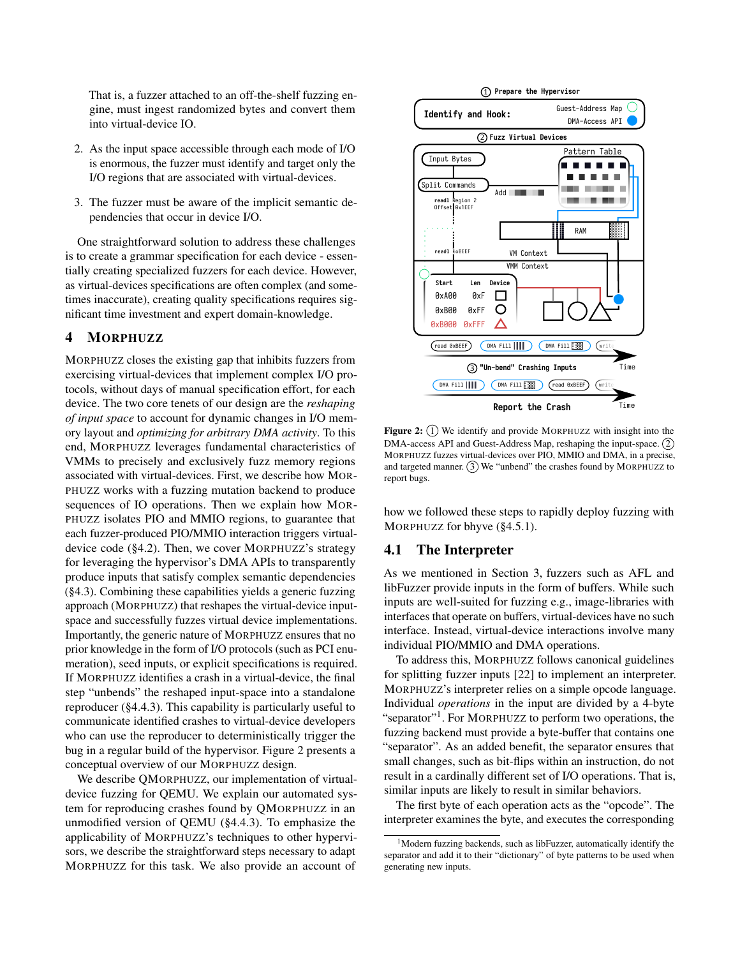That is, a fuzzer attached to an off-the-shelf fuzzing engine, must ingest randomized bytes and convert them into virtual-device IO.

- 2. As the input space accessible through each mode of I/O is enormous, the fuzzer must identify and target only the I/O regions that are associated with virtual-devices.
- 3. The fuzzer must be aware of the implicit semantic dependencies that occur in device I/O.

One straightforward solution to address these challenges is to create a grammar specification for each device - essentially creating specialized fuzzers for each device. However, as virtual-devices specifications are often complex (and sometimes inaccurate), creating quality specifications requires significant time investment and expert domain-knowledge.

## <span id="page-5-0"></span>4 MORPHUZZ

MORPHUZZ closes the existing gap that inhibits fuzzers from exercising virtual-devices that implement complex I/O protocols, without days of manual specification effort, for each device. The two core tenets of our design are the *reshaping of input space* to account for dynamic changes in I/O memory layout and *optimizing for arbitrary DMA activity*. To this end, MORPHUZZ leverages fundamental characteristics of VMMs to precisely and exclusively fuzz memory regions associated with virtual-devices. First, we describe how MOR-PHUZZ works with a fuzzing mutation backend to produce sequences of IO operations. Then we explain how MOR-PHUZZ isolates PIO and MMIO regions, to guarantee that each fuzzer-produced PIO/MMIO interaction triggers virtualdevice code ([§4.2\)](#page-6-0). Then, we cover MORPHUZZ's strategy for leveraging the hypervisor's DMA APIs to transparently produce inputs that satisfy complex semantic dependencies ([§4.3\)](#page-6-1). Combining these capabilities yields a generic fuzzing approach (MORPHUZZ) that reshapes the virtual-device inputspace and successfully fuzzes virtual device implementations. Importantly, the generic nature of MORPHUZZ ensures that no prior knowledge in the form of I/O protocols (such as PCI enumeration), seed inputs, or explicit specifications is required. If MORPHUZZ identifies a crash in a virtual-device, the final step "unbends" the reshaped input-space into a standalone reproducer ([§4.4.3\)](#page-8-0). This capability is particularly useful to communicate identified crashes to virtual-device developers who can use the reproducer to deterministically trigger the bug in a regular build of the hypervisor. Figure [2](#page-5-1) presents a conceptual overview of our MORPHUZZ design.

We describe QMORPHUZZ, our implementation of virtualdevice fuzzing for QEMU. We explain our automated system for reproducing crashes found by QMORPHUZZ in an unmodified version of QEMU ([§4.4.3\)](#page-8-0). To emphasize the applicability of MORPHUZZ's techniques to other hypervisors, we describe the straightforward steps necessary to adapt MORPHUZZ for this task. We also provide an account of

<span id="page-5-1"></span>

Figure 2:  $(1)$  We identify and provide MORPHUZZ with insight into the DMA-access API and Guest-Address Map, reshaping the input-space.  $(2)$ MORPHUZZ fuzzes virtual-devices over PIO, MMIO and DMA, in a precise, and targeted manner.  $(3)$  We "unbend" the crashes found by MORPHUZZ to report bugs.

how we followed these steps to rapidly deploy fuzzing with MORPHUZZ for bhyve ([§4.5.1\)](#page-8-1).

### <span id="page-5-3"></span>4.1 The Interpreter

As we mentioned in Section [3,](#page-3-0) fuzzers such as AFL and libFuzzer provide inputs in the form of buffers. While such inputs are well-suited for fuzzing e.g., image-libraries with interfaces that operate on buffers, virtual-devices have no such interface. Instead, virtual-device interactions involve many individual PIO/MMIO and DMA operations.

To address this, MORPHUZZ follows canonical guidelines for splitting fuzzer inputs [\[22\]](#page-14-11) to implement an interpreter. MORPHUZZ's interpreter relies on a simple opcode language. Individual *operations* in the input are divided by a 4-byte "separator"<sup>[1](#page-5-2)</sup>. For MORPHUZZ to perform two operations, the fuzzing backend must provide a byte-buffer that contains one "separator". As an added benefit, the separator ensures that small changes, such as bit-flips within an instruction, do not result in a cardinally different set of I/O operations. That is, similar inputs are likely to result in similar behaviors.

The first byte of each operation acts as the "opcode". The interpreter examines the byte, and executes the corresponding

<span id="page-5-2"></span><sup>1</sup>Modern fuzzing backends, such as libFuzzer, automatically identify the separator and add it to their "dictionary" of byte patterns to be used when generating new inputs.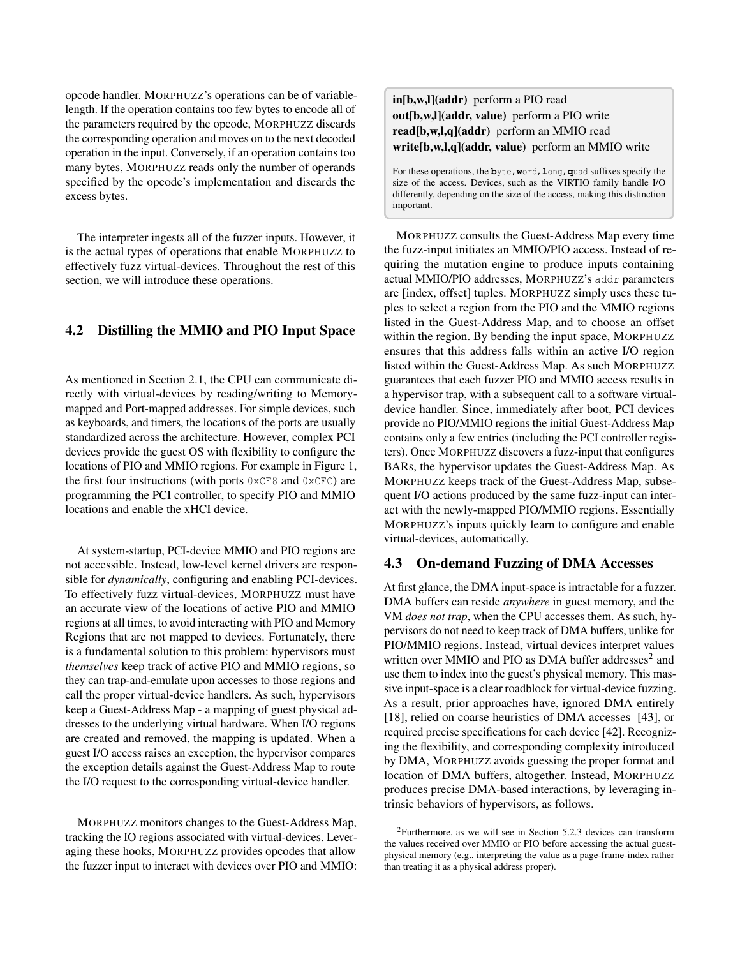opcode handler. MORPHUZZ's operations can be of variablelength. If the operation contains too few bytes to encode all of the parameters required by the opcode, MORPHUZZ discards the corresponding operation and moves on to the next decoded operation in the input. Conversely, if an operation contains too many bytes, MORPHUZZ reads only the number of operands specified by the opcode's implementation and discards the excess bytes.

The interpreter ingests all of the fuzzer inputs. However, it is the actual types of operations that enable MORPHUZZ to effectively fuzz virtual-devices. Throughout the rest of this section, we will introduce these operations.

## <span id="page-6-0"></span>4.2 Distilling the MMIO and PIO Input Space

As mentioned in Section [2.1,](#page-2-0) the CPU can communicate directly with virtual-devices by reading/writing to Memorymapped and Port-mapped addresses. For simple devices, such as keyboards, and timers, the locations of the ports are usually standardized across the architecture. However, complex PCI devices provide the guest OS with flexibility to configure the locations of PIO and MMIO regions. For example in Figure [1,](#page-4-1) the first four instructions (with ports  $0 \times CFS$  and  $0 \times CFC$ ) are programming the PCI controller, to specify PIO and MMIO locations and enable the xHCI device.

At system-startup, PCI-device MMIO and PIO regions are not accessible. Instead, low-level kernel drivers are responsible for *dynamically*, configuring and enabling PCI-devices. To effectively fuzz virtual-devices, MORPHUZZ must have an accurate view of the locations of active PIO and MMIO regions at all times, to avoid interacting with PIO and Memory Regions that are not mapped to devices. Fortunately, there is a fundamental solution to this problem: hypervisors must *themselves* keep track of active PIO and MMIO regions, so they can trap-and-emulate upon accesses to those regions and call the proper virtual-device handlers. As such, hypervisors keep a Guest-Address Map - a mapping of guest physical addresses to the underlying virtual hardware. When I/O regions are created and removed, the mapping is updated. When a guest I/O access raises an exception, the hypervisor compares the exception details against the Guest-Address Map to route the I/O request to the corresponding virtual-device handler.

MORPHUZZ monitors changes to the Guest-Address Map, tracking the IO regions associated with virtual-devices. Leveraging these hooks, MORPHUZZ provides opcodes that allow the fuzzer input to interact with devices over PIO and MMIO: in[b,w,l](addr) perform a PIO read out[b,w,l](addr, value) perform a PIO write read[b,w,l,q](addr) perform an MMIO read write[b,w,l,q](addr, value) perform an MMIO write

For these operations, the **b**yte,**w**ord,**l**ong,**q**uad suffixes specify the size of the access. Devices, such as the VIRTIO family handle I/O differently, depending on the size of the access, making this distinction important.

MORPHUZZ consults the Guest-Address Map every time the fuzz-input initiates an MMIO/PIO access. Instead of requiring the mutation engine to produce inputs containing actual MMIO/PIO addresses, MORPHUZZ's addr parameters are [index, offset] tuples. MORPHUZZ simply uses these tuples to select a region from the PIO and the MMIO regions listed in the Guest-Address Map, and to choose an offset within the region. By bending the input space, MORPHUZZ ensures that this address falls within an active I/O region listed within the Guest-Address Map. As such MORPHUZZ guarantees that each fuzzer PIO and MMIO access results in a hypervisor trap, with a subsequent call to a software virtualdevice handler. Since, immediately after boot, PCI devices provide no PIO/MMIO regions the initial Guest-Address Map contains only a few entries (including the PCI controller registers). Once MORPHUZZ discovers a fuzz-input that configures BARs, the hypervisor updates the Guest-Address Map. As MORPHUZZ keeps track of the Guest-Address Map, subsequent I/O actions produced by the same fuzz-input can interact with the newly-mapped PIO/MMIO regions. Essentially MORPHUZZ's inputs quickly learn to configure and enable virtual-devices, automatically.

## <span id="page-6-1"></span>4.3 On-demand Fuzzing of DMA Accesses

At first glance, the DMA input-space is intractable for a fuzzer. DMA buffers can reside *anywhere* in guest memory, and the VM *does not trap*, when the CPU accesses them. As such, hypervisors do not need to keep track of DMA buffers, unlike for PIO/MMIO regions. Instead, virtual devices interpret values written over MMIO and PIO as DMA buffer addresses<sup>[2](#page-6-2)</sup> and use them to index into the guest's physical memory. This massive input-space is a clear roadblock for virtual-device fuzzing. As a result, prior approaches have, ignored DMA entirely [\[18\]](#page-14-7), relied on coarse heuristics of DMA accesses [\[43\]](#page-15-5), or required precise specifications for each device [\[42\]](#page-15-6). Recognizing the flexibility, and corresponding complexity introduced by DMA, MORPHUZZ avoids guessing the proper format and location of DMA buffers, altogether. Instead, MORPHUZZ produces precise DMA-based interactions, by leveraging intrinsic behaviors of hypervisors, as follows.

<span id="page-6-2"></span><sup>2</sup>Furthermore, as we will see in Section [5.2.3](#page-10-0) devices can transform the values received over MMIO or PIO before accessing the actual guestphysical memory (e.g., interpreting the value as a page-frame-index rather than treating it as a physical address proper).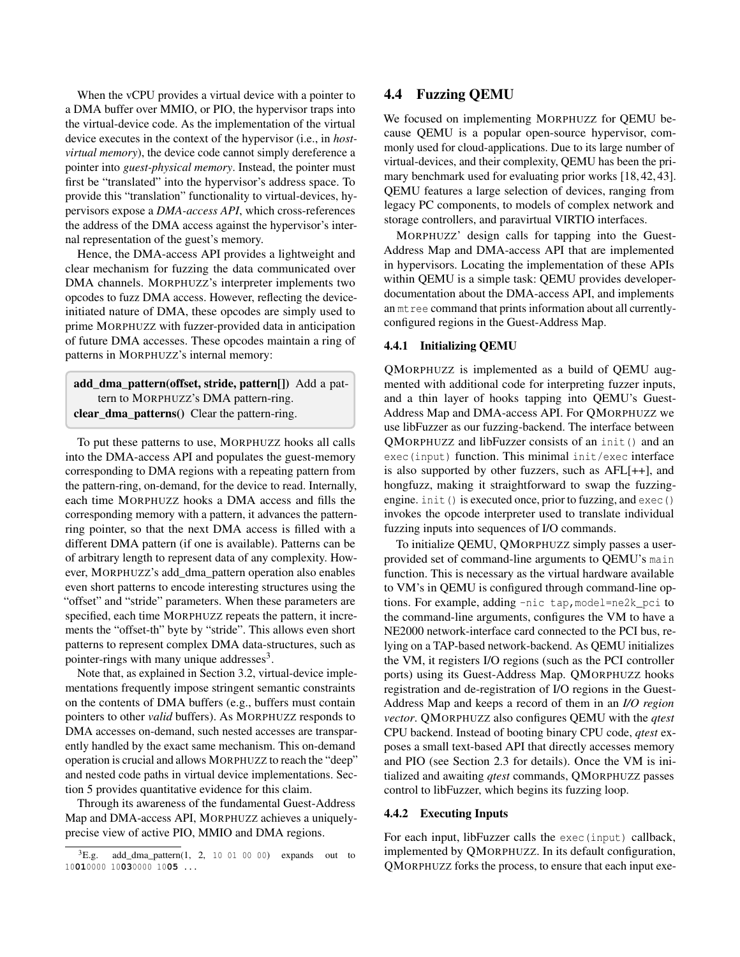When the vCPU provides a virtual device with a pointer to a DMA buffer over MMIO, or PIO, the hypervisor traps into the virtual-device code. As the implementation of the virtual device executes in the context of the hypervisor (i.e., in *hostvirtual memory*), the device code cannot simply dereference a pointer into *guest-physical memory*. Instead, the pointer must first be "translated" into the hypervisor's address space. To provide this "translation" functionality to virtual-devices, hypervisors expose a *DMA-access API*, which cross-references the address of the DMA access against the hypervisor's internal representation of the guest's memory.

Hence, the DMA-access API provides a lightweight and clear mechanism for fuzzing the data communicated over DMA channels. MORPHUZZ's interpreter implements two opcodes to fuzz DMA access. However, reflecting the deviceinitiated nature of DMA, these opcodes are simply used to prime MORPHUZZ with fuzzer-provided data in anticipation of future DMA accesses. These opcodes maintain a ring of patterns in MORPHUZZ's internal memory:

add\_dma\_pattern(offset, stride, pattern[]) Add a pattern to MORPHUZZ's DMA pattern-ring. clear dma patterns() Clear the pattern-ring.

To put these patterns to use, MORPHUZZ hooks all calls into the DMA-access API and populates the guest-memory corresponding to DMA regions with a repeating pattern from the pattern-ring, on-demand, for the device to read. Internally, each time MORPHUZZ hooks a DMA access and fills the corresponding memory with a pattern, it advances the patternring pointer, so that the next DMA access is filled with a different DMA pattern (if one is available). Patterns can be of arbitrary length to represent data of any complexity. However, MORPHUZZ's add\_dma\_pattern operation also enables even short patterns to encode interesting structures using the "offset" and "stride" parameters. When these parameters are specified, each time MORPHUZZ repeats the pattern, it increments the "offset-th" byte by "stride". This allows even short patterns to represent complex DMA data-structures, such as pointer-rings with many unique addresses<sup>[3](#page-7-0)</sup>.

Note that, as explained in Section [3.2,](#page-4-0) virtual-device implementations frequently impose stringent semantic constraints on the contents of DMA buffers (e.g., buffers must contain pointers to other *valid* buffers). As MORPHUZZ responds to DMA accesses on-demand, such nested accesses are transparently handled by the exact same mechanism. This on-demand operation is crucial and allows MORPHUZZ to reach the "deep" and nested code paths in virtual device implementations. Section [5](#page-9-0) provides quantitative evidence for this claim.

Through its awareness of the fundamental Guest-Address Map and DMA-access API, MORPHUZZ achieves a uniquelyprecise view of active PIO, MMIO and DMA regions.

## 4.4 Fuzzing QEMU

We focused on implementing MORPHUZZ for QEMU because QEMU is a popular open-source hypervisor, commonly used for cloud-applications. Due to its large number of virtual-devices, and their complexity, QEMU has been the primary benchmark used for evaluating prior works [\[18,](#page-14-7) [42,](#page-15-6) [43\]](#page-15-5). QEMU features a large selection of devices, ranging from legacy PC components, to models of complex network and storage controllers, and paravirtual VIRTIO interfaces.

MORPHUZZ' design calls for tapping into the Guest-Address Map and DMA-access API that are implemented in hypervisors. Locating the implementation of these APIs within QEMU is a simple task: QEMU provides developerdocumentation about the DMA-access API, and implements an mtree command that prints information about all currentlyconfigured regions in the Guest-Address Map.

### 4.4.1 Initializing QEMU

QMORPHUZZ is implemented as a build of QEMU augmented with additional code for interpreting fuzzer inputs, and a thin layer of hooks tapping into QEMU's Guest-Address Map and DMA-access API. For QMORPHUZZ we use libFuzzer as our fuzzing-backend. The interface between QMORPHUZZ and libFuzzer consists of an init() and an exec(input) function. This minimal init/exec interface is also supported by other fuzzers, such as AFL[++], and hongfuzz, making it straightforward to swap the fuzzingengine. init() is executed once, prior to fuzzing, and exec() invokes the opcode interpreter used to translate individual fuzzing inputs into sequences of I/O commands.

To initialize QEMU, QMORPHUZZ simply passes a userprovided set of command-line arguments to QEMU's main function. This is necessary as the virtual hardware available to VM's in QEMU is configured through command-line options. For example, adding -nic tap,model=ne2k\_pci to the command-line arguments, configures the VM to have a NE2000 network-interface card connected to the PCI bus, relying on a TAP-based network-backend. As QEMU initializes the VM, it registers I/O regions (such as the PCI controller ports) using its Guest-Address Map. QMORPHUZZ hooks registration and de-registration of I/O regions in the Guest-Address Map and keeps a record of them in an *I/O region vector*. QMORPHUZZ also configures QEMU with the *qtest* CPU backend. Instead of booting binary CPU code, *qtest* exposes a small text-based API that directly accesses memory and PIO (see Section [2.3](#page-3-1) for details). Once the VM is initialized and awaiting *qtest* commands, QMORPHUZZ passes control to libFuzzer, which begins its fuzzing loop.

### 4.4.2 Executing Inputs

For each input, libFuzzer calls the exec(input) callback, implemented by QMORPHUZZ. In its default configuration, QMORPHUZZ forks the process, to ensure that each input exe-

<span id="page-7-0"></span> ${}^{3}E.g.$  add dma pattern(1, 2, 10 01 00 00) expands out to 10**01**0000 10**03**0000 10**05** ...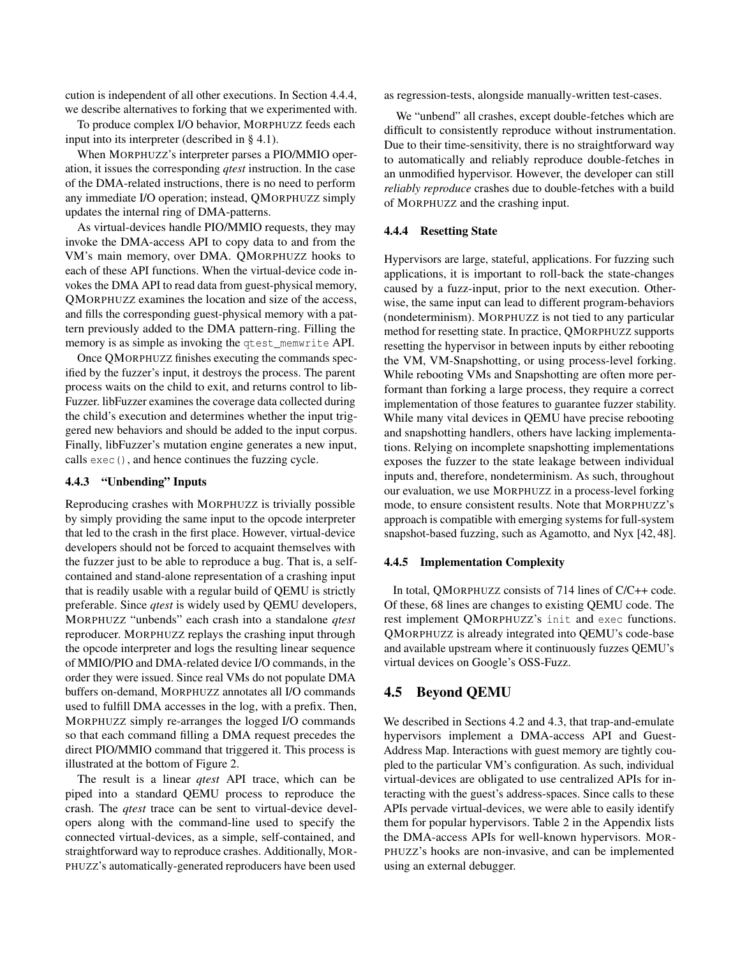cution is independent of all other executions. In Section [4.4.4,](#page-8-2) we describe alternatives to forking that we experimented with.

To produce complex I/O behavior, MORPHUZZ feeds each input into its interpreter (described in § [4.1\)](#page-5-3).

When MORPHUZZ's interpreter parses a PIO/MMIO operation, it issues the corresponding *qtest* instruction. In the case of the DMA-related instructions, there is no need to perform any immediate I/O operation; instead, QMORPHUZZ simply updates the internal ring of DMA-patterns.

As virtual-devices handle PIO/MMIO requests, they may invoke the DMA-access API to copy data to and from the VM's main memory, over DMA. QMORPHUZZ hooks to each of these API functions. When the virtual-device code invokes the DMA API to read data from guest-physical memory, QMORPHUZZ examines the location and size of the access, and fills the corresponding guest-physical memory with a pattern previously added to the DMA pattern-ring. Filling the memory is as simple as invoking the qtest\_memwrite API.

Once QMORPHUZZ finishes executing the commands specified by the fuzzer's input, it destroys the process. The parent process waits on the child to exit, and returns control to lib-Fuzzer. libFuzzer examines the coverage data collected during the child's execution and determines whether the input triggered new behaviors and should be added to the input corpus. Finally, libFuzzer's mutation engine generates a new input, calls exec(), and hence continues the fuzzing cycle.

### <span id="page-8-0"></span>4.4.3 "Unbending" Inputs

Reproducing crashes with MORPHUZZ is trivially possible by simply providing the same input to the opcode interpreter that led to the crash in the first place. However, virtual-device developers should not be forced to acquaint themselves with the fuzzer just to be able to reproduce a bug. That is, a selfcontained and stand-alone representation of a crashing input that is readily usable with a regular build of QEMU is strictly preferable. Since *qtest* is widely used by QEMU developers, MORPHUZZ "unbends" each crash into a standalone *qtest* reproducer. MORPHUZZ replays the crashing input through the opcode interpreter and logs the resulting linear sequence of MMIO/PIO and DMA-related device I/O commands, in the order they were issued. Since real VMs do not populate DMA buffers on-demand, MORPHUZZ annotates all I/O commands used to fulfill DMA accesses in the log, with a prefix. Then, MORPHUZZ simply re-arranges the logged I/O commands so that each command filling a DMA request precedes the direct PIO/MMIO command that triggered it. This process is illustrated at the bottom of Figure [2.](#page-5-1)

The result is a linear *qtest* API trace, which can be piped into a standard QEMU process to reproduce the crash. The *qtest* trace can be sent to virtual-device developers along with the command-line used to specify the connected virtual-devices, as a simple, self-contained, and straightforward way to reproduce crashes. Additionally, MOR-PHUZZ's automatically-generated reproducers have been used

as regression-tests, alongside manually-written test-cases.

We "unbend" all crashes, except double-fetches which are difficult to consistently reproduce without instrumentation. Due to their time-sensitivity, there is no straightforward way to automatically and reliably reproduce double-fetches in an unmodified hypervisor. However, the developer can still *reliably reproduce* crashes due to double-fetches with a build of MORPHUZZ and the crashing input.

### <span id="page-8-2"></span>4.4.4 Resetting State

Hypervisors are large, stateful, applications. For fuzzing such applications, it is important to roll-back the state-changes caused by a fuzz-input, prior to the next execution. Otherwise, the same input can lead to different program-behaviors (nondeterminism). MORPHUZZ is not tied to any particular method for resetting state. In practice, QMORPHUZZ supports resetting the hypervisor in between inputs by either rebooting the VM, VM-Snapshotting, or using process-level forking. While rebooting VMs and Snapshotting are often more performant than forking a large process, they require a correct implementation of those features to guarantee fuzzer stability. While many vital devices in QEMU have precise rebooting and snapshotting handlers, others have lacking implementations. Relying on incomplete snapshotting implementations exposes the fuzzer to the state leakage between individual inputs and, therefore, nondeterminism. As such, throughout our evaluation, we use MORPHUZZ in a process-level forking mode, to ensure consistent results. Note that MORPHUZZ's approach is compatible with emerging systems for full-system snapshot-based fuzzing, such as Agamotto, and Nyx [\[42,](#page-15-6) [48\]](#page-15-7).

#### 4.4.5 Implementation Complexity

In total, QMORPHUZZ consists of 714 lines of C/C++ code. Of these, 68 lines are changes to existing QEMU code. The rest implement QMORPHUZZ's init and exec functions. QMORPHUZZ is already integrated into QEMU's code-base and available upstream where it continuously fuzzes QEMU's virtual devices on Google's OSS-Fuzz.

### 4.5 Beyond QEMU

<span id="page-8-1"></span>We described in Sections [4.2](#page-6-0) and [4.3,](#page-6-1) that trap-and-emulate hypervisors implement a DMA-access API and Guest-Address Map. Interactions with guest memory are tightly coupled to the particular VM's configuration. As such, individual virtual-devices are obligated to use centralized APIs for interacting with the guest's address-spaces. Since calls to these APIs pervade virtual-devices, we were able to easily identify them for popular hypervisors. Table [2](#page-15-8) in the Appendix lists the DMA-access APIs for well-known hypervisors. MOR-PHUZZ's hooks are non-invasive, and can be implemented using an external debugger.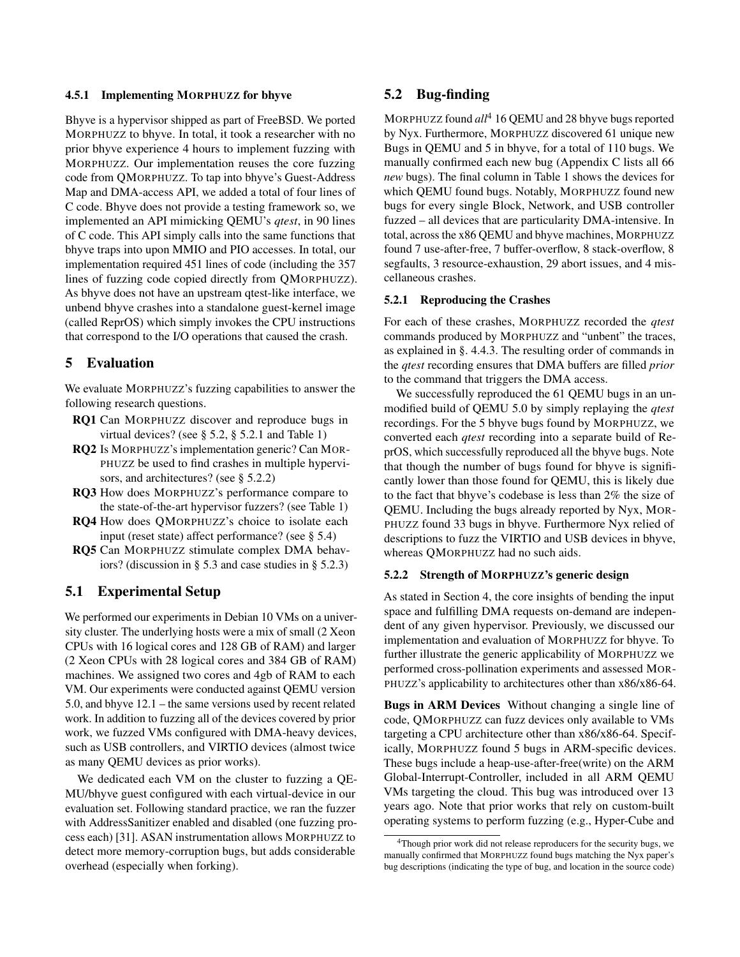### 4.5.1 Implementing MORPHUZZ for bhyve

Bhyve is a hypervisor shipped as part of FreeBSD. We ported MORPHUZZ to bhyve. In total, it took a researcher with no prior bhyve experience 4 hours to implement fuzzing with MORPHUZZ. Our implementation reuses the core fuzzing code from QMORPHUZZ. To tap into bhyve's Guest-Address Map and DMA-access API, we added a total of four lines of C code. Bhyve does not provide a testing framework so, we implemented an API mimicking QEMU's *qtest*, in 90 lines of C code. This API simply calls into the same functions that bhyve traps into upon MMIO and PIO accesses. In total, our implementation required 451 lines of code (including the 357 lines of fuzzing code copied directly from QMORPHUZZ). As bhyve does not have an upstream qtest-like interface, we unbend bhyve crashes into a standalone guest-kernel image (called ReprOS) which simply invokes the CPU instructions that correspond to the I/O operations that caused the crash.

### <span id="page-9-0"></span>5 Evaluation

We evaluate MORPHUZZ's fuzzing capabilities to answer the following research questions.

- RQ1 Can MORPHUZZ discover and reproduce bugs in virtual devices? (see § [5.2,](#page-9-1) § [5.2.1](#page-9-2) and Table [1\)](#page-11-0)
- RQ2 Is MORPHUZZ's implementation generic? Can MOR-PHUZZ be used to find crashes in multiple hypervisors, and architectures? (see § [5.2.2\)](#page-9-3)
- RQ3 How does MORPHUZZ's performance compare to the state-of-the-art hypervisor fuzzers? (see Table [1\)](#page-11-0)
- RQ4 How does QMORPHUZZ's choice to isolate each input (reset state) affect performance? (see § [5.4\)](#page-11-1)
- RQ5 Can MORPHUZZ stimulate complex DMA behaviors? (discussion in § [5.3](#page-11-0) and case studies in § [5.2.3\)](#page-10-0)

## 5.1 Experimental Setup

We performed our experiments in Debian 10 VMs on a university cluster. The underlying hosts were a mix of small (2 Xeon CPUs with 16 logical cores and 128 GB of RAM) and larger (2 Xeon CPUs with 28 logical cores and 384 GB of RAM) machines. We assigned two cores and 4gb of RAM to each VM. Our experiments were conducted against QEMU version 5.0, and bhyve 12.1 – the same versions used by recent related work. In addition to fuzzing all of the devices covered by prior work, we fuzzed VMs configured with DMA-heavy devices, such as USB controllers, and VIRTIO devices (almost twice as many QEMU devices as prior works).

<span id="page-9-1"></span>We dedicated each VM on the cluster to fuzzing a QE-MU/bhyve guest configured with each virtual-device in our evaluation set. Following standard practice, we ran the fuzzer with AddressSanitizer enabled and disabled (one fuzzing process each) [\[31\]](#page-14-12). ASAN instrumentation allows MORPHUZZ to detect more memory-corruption bugs, but adds considerable overhead (especially when forking).

### 5.2 Bug-finding

MORPHUZZ found *all*[4](#page-9-4) 16 QEMU and 28 bhyve bugs reported by Nyx. Furthermore, MORPHUZZ discovered 61 unique new Bugs in QEMU and 5 in bhyve, for a total of 110 bugs. We manually confirmed each new bug (Appendix [C](#page-17-0) lists all 66 *new* bugs). The final column in Table [1](#page-11-0) shows the devices for which QEMU found bugs. Notably, MORPHUZZ found new bugs for every single Block, Network, and USB controller fuzzed – all devices that are particularity DMA-intensive. In total, across the x86 QEMU and bhyve machines, MORPHUZZ found 7 use-after-free, 7 buffer-overflow, 8 stack-overflow, 8 segfaults, 3 resource-exhaustion, 29 abort issues, and 4 miscellaneous crashes.

### <span id="page-9-2"></span>5.2.1 Reproducing the Crashes

For each of these crashes, MORPHUZZ recorded the *qtest* commands produced by MORPHUZZ and "unbent" the traces, as explained in §. [4.4.3.](#page-8-0) The resulting order of commands in the *qtest* recording ensures that DMA buffers are filled *prior* to the command that triggers the DMA access.

We successfully reproduced the 61 QEMU bugs in an unmodified build of QEMU 5.0 by simply replaying the *qtest* recordings. For the 5 bhyve bugs found by MORPHUZZ, we converted each *qtest* recording into a separate build of ReprOS, which successfully reproduced all the bhyve bugs. Note that though the number of bugs found for bhyve is significantly lower than those found for QEMU, this is likely due to the fact that bhyve's codebase is less than 2% the size of QEMU. Including the bugs already reported by Nyx, MOR-PHUZZ found 33 bugs in bhyve. Furthermore Nyx relied of descriptions to fuzz the VIRTIO and USB devices in bhyve, whereas QMORPHUZZ had no such aids.

### <span id="page-9-3"></span>5.2.2 Strength of MORPHUZZ's generic design

As stated in Section [4,](#page-5-0) the core insights of bending the input space and fulfilling DMA requests on-demand are independent of any given hypervisor. Previously, we discussed our implementation and evaluation of MORPHUZZ for bhyve. To further illustrate the generic applicability of MORPHUZZ we performed cross-pollination experiments and assessed MOR-PHUZZ's applicability to architectures other than x86/x86-64.

Bugs in ARM Devices Without changing a single line of code, QMORPHUZZ can fuzz devices only available to VMs targeting a CPU architecture other than x86/x86-64. Specifically, MORPHUZZ found 5 bugs in ARM-specific devices. These bugs include a heap-use-after-free(write) on the ARM Global-Interrupt-Controller, included in all ARM QEMU VMs targeting the cloud. This bug was introduced over 13 years ago. Note that prior works that rely on custom-built operating systems to perform fuzzing (e.g., Hyper-Cube and

<span id="page-9-4"></span><sup>&</sup>lt;sup>4</sup>Though prior work did not release reproducers for the security bugs, we manually confirmed that MORPHUZZ found bugs matching the Nyx paper's bug descriptions (indicating the type of bug, and location in the source code)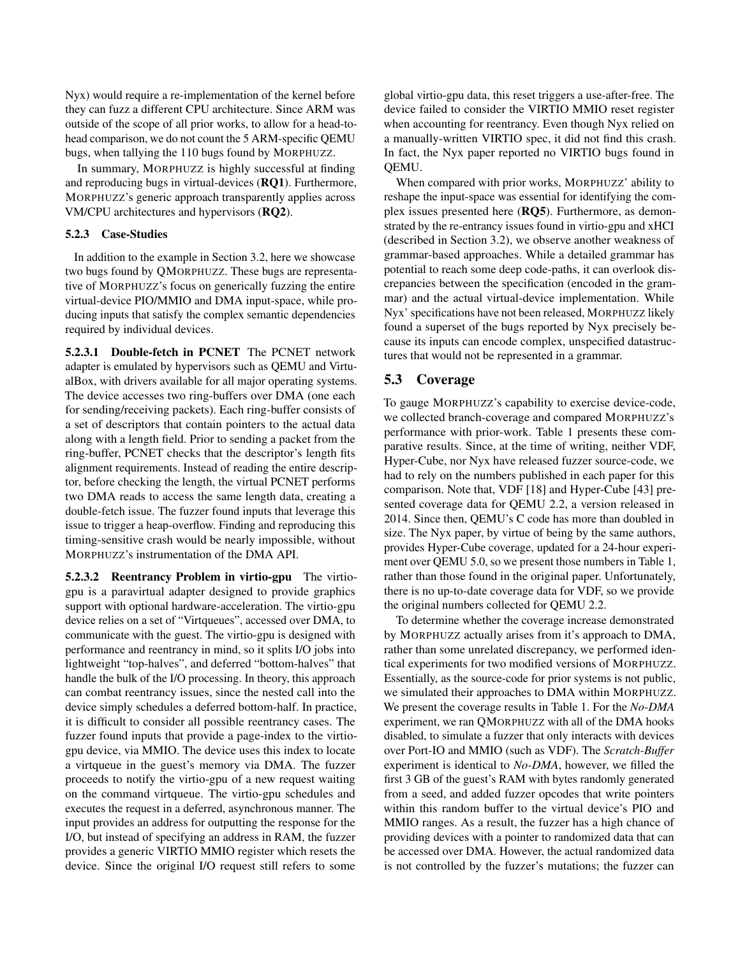Nyx) would require a re-implementation of the kernel before they can fuzz a different CPU architecture. Since ARM was outside of the scope of all prior works, to allow for a head-tohead comparison, we do not count the 5 ARM-specific QEMU bugs, when tallying the 110 bugs found by MORPHUZZ.

In summary, MORPHUZZ is highly successful at finding and reproducing bugs in virtual-devices (RQ1). Furthermore, MORPHUZZ's generic approach transparently applies across VM/CPU architectures and hypervisors (RQ2).

### <span id="page-10-0"></span>5.2.3 Case-Studies

In addition to the example in Section [3.2,](#page-4-0) here we showcase two bugs found by QMORPHUZZ. These bugs are representative of MORPHUZZ's focus on generically fuzzing the entire virtual-device PIO/MMIO and DMA input-space, while producing inputs that satisfy the complex semantic dependencies required by individual devices.

5.2.3.1 Double-fetch in PCNET The PCNET network adapter is emulated by hypervisors such as QEMU and VirtualBox, with drivers available for all major operating systems. The device accesses two ring-buffers over DMA (one each for sending/receiving packets). Each ring-buffer consists of a set of descriptors that contain pointers to the actual data along with a length field. Prior to sending a packet from the ring-buffer, PCNET checks that the descriptor's length fits alignment requirements. Instead of reading the entire descriptor, before checking the length, the virtual PCNET performs two DMA reads to access the same length data, creating a double-fetch issue. The fuzzer found inputs that leverage this issue to trigger a heap-overflow. Finding and reproducing this timing-sensitive crash would be nearly impossible, without MORPHUZZ's instrumentation of the DMA API.

5.2.3.2 Reentrancy Problem in virtio-gpu The virtiogpu is a paravirtual adapter designed to provide graphics support with optional hardware-acceleration. The virtio-gpu device relies on a set of "Virtqueues", accessed over DMA, to communicate with the guest. The virtio-gpu is designed with performance and reentrancy in mind, so it splits I/O jobs into lightweight "top-halves", and deferred "bottom-halves" that handle the bulk of the I/O processing. In theory, this approach can combat reentrancy issues, since the nested call into the device simply schedules a deferred bottom-half. In practice, it is difficult to consider all possible reentrancy cases. The fuzzer found inputs that provide a page-index to the virtiogpu device, via MMIO. The device uses this index to locate a virtqueue in the guest's memory via DMA. The fuzzer proceeds to notify the virtio-gpu of a new request waiting on the command virtqueue. The virtio-gpu schedules and executes the request in a deferred, asynchronous manner. The input provides an address for outputting the response for the I/O, but instead of specifying an address in RAM, the fuzzer provides a generic VIRTIO MMIO register which resets the device. Since the original I/O request still refers to some

global virtio-gpu data, this reset triggers a use-after-free. The device failed to consider the VIRTIO MMIO reset register when accounting for reentrancy. Even though Nyx relied on a manually-written VIRTIO spec, it did not find this crash. In fact, the Nyx paper reported no VIRTIO bugs found in QEMU.

When compared with prior works, MORPHUZZ' ability to reshape the input-space was essential for identifying the complex issues presented here (RQ5). Furthermore, as demonstrated by the re-entrancy issues found in virtio-gpu and xHCI (described in Section [3.2\)](#page-4-0), we observe another weakness of grammar-based approaches. While a detailed grammar has potential to reach some deep code-paths, it can overlook discrepancies between the specification (encoded in the grammar) and the actual virtual-device implementation. While Nyx' specifications have not been released, MORPHUZZ likely found a superset of the bugs reported by Nyx precisely because its inputs can encode complex, unspecified datastructures that would not be represented in a grammar.

## 5.3 Coverage

To gauge MORPHUZZ's capability to exercise device-code, we collected branch-coverage and compared MORPHUZZ's performance with prior-work. Table [1](#page-11-0) presents these comparative results. Since, at the time of writing, neither VDF, Hyper-Cube, nor Nyx have released fuzzer source-code, we had to rely on the numbers published in each paper for this comparison. Note that, VDF [\[18\]](#page-14-7) and Hyper-Cube [\[43\]](#page-15-5) presented coverage data for QEMU 2.2, a version released in 2014. Since then, QEMU's C code has more than doubled in size. The Nyx paper, by virtue of being by the same authors, provides Hyper-Cube coverage, updated for a 24-hour experiment over QEMU 5.0, so we present those numbers in Table [1,](#page-11-0) rather than those found in the original paper. Unfortunately, there is no up-to-date coverage data for VDF, so we provide the original numbers collected for QEMU 2.2.

To determine whether the coverage increase demonstrated by MORPHUZZ actually arises from it's approach to DMA, rather than some unrelated discrepancy, we performed identical experiments for two modified versions of MORPHUZZ. Essentially, as the source-code for prior systems is not public, we simulated their approaches to DMA within MORPHUZZ. We present the coverage results in Table [1.](#page-11-0) For the *No-DMA* experiment, we ran QMORPHUZZ with all of the DMA hooks disabled, to simulate a fuzzer that only interacts with devices over Port-IO and MMIO (such as VDF). The *Scratch-Buffer* experiment is identical to *No-DMA*, however, we filled the first 3 GB of the guest's RAM with bytes randomly generated from a seed, and added fuzzer opcodes that write pointers within this random buffer to the virtual device's PIO and MMIO ranges. As a result, the fuzzer has a high chance of providing devices with a pointer to randomized data that can be accessed over DMA. However, the actual randomized data is not controlled by the fuzzer's mutations; the fuzzer can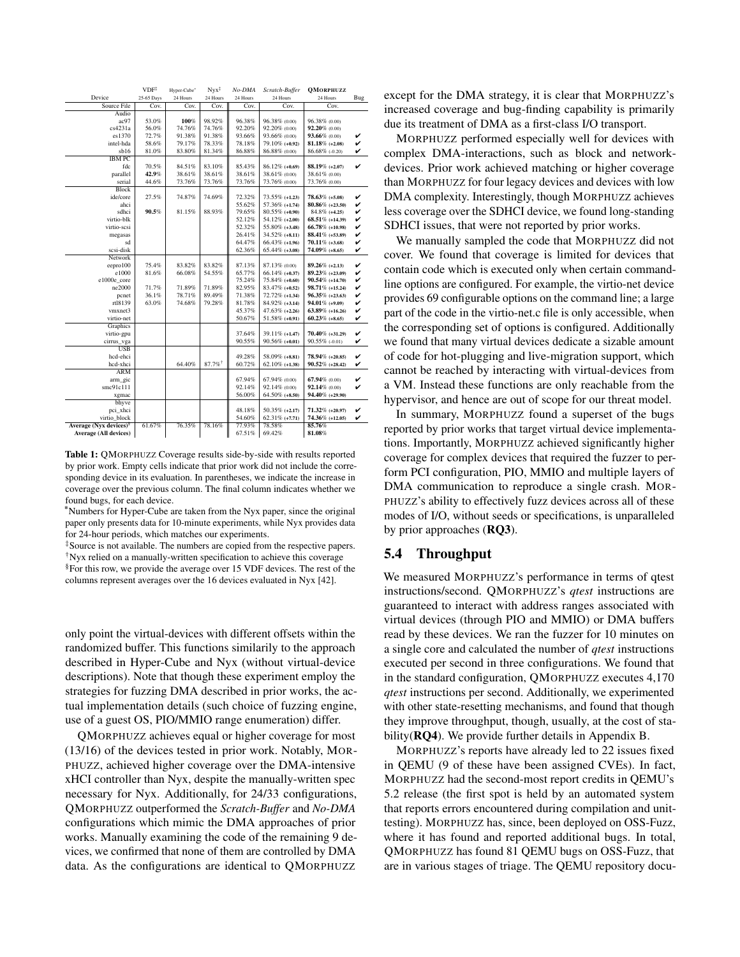<span id="page-11-0"></span>

|                                    | $VDF^{\ddagger}$ | Hyper-Cube <sup>+</sup> | $Nvx^{\ddagger}$      | No-DMA   | Scratch-Buffer    | <b>OMORPHUZZ</b>   |     |
|------------------------------------|------------------|-------------------------|-----------------------|----------|-------------------|--------------------|-----|
| Device                             | 25-65 Days       | 24 Hours                | 24 Hours              | 24 Hours | 24 Hours          | 24 Hours           | Bug |
| Source File                        | Cov.             | Cov.                    | Cov.                  | Cov.     | Cov.              | Cov.               |     |
| Audio                              |                  |                         |                       |          |                   |                    |     |
| ac97                               | 53.0%            | 100%                    | 98.92%                | 96.38%   | 96.38% (0.00)     | 96.38% (0.00)      |     |
| cs4231a                            | 56.0%            | 74.76%                  | 74.76%                | 92.20%   | 92.20% (0.00)     | 92.20% (0.00)      |     |
| es1370                             | 72.7%            | 91.38%                  | 91.38%                | 93.66%   | 93.66% (0.00)     | 93.66% (0.00)      | v   |
| intel-hda                          | 58.6%            | 79.17%                  | 78.33%                | 78.18%   | 79.10% (+0.92)    | $81.18\%$ (+2.08)  | v   |
| sb16                               | 81.0%            | 83.80%                  | 81.34%                | 86.88%   | 86.88% (0.00)     | 86.68% (-0.20)     | v   |
| <b>IBM PC</b>                      |                  |                         |                       |          |                   |                    |     |
| fdc                                | 70.5%            | 84.51%                  | 83.10%                | 85.43%   | $86.12\%$ (+0.69) | 88.19% (+2.07)     | v   |
| parallel                           | 42.9%            | 38.61%                  | 38.61%                | 38.61%   | 38.61% (0.00)     | 38.61% (0.00)      |     |
| serial                             | 44.6%            | 73.76%                  | 73.76%                | 73.76%   | 73.76% (0.00)     | 73.76% (0.00)      |     |
| Block                              |                  |                         |                       |          |                   |                    |     |
| ide/core                           | 27.5%            | 74.87%                  | 74.69%                | 72.32%   | 73.55% (+1.23)    | $78.63\%$ (+5.08)  | v   |
| ahci                               |                  |                         |                       | 55.62%   | 57.36% (+1.74)    | $80.86\%$ (+23.50) | v   |
| sdhci                              | 90.5%            | 81.15%                  | 88.93%                | 79.65%   | 80.55% (+0.90)    | $84.8\%$ (+4.25)   | v   |
| virtio-blk                         |                  |                         |                       | 52.12%   | 54.12% (+2.00)    | $68.51\%$ (+14.39) | v   |
| virtio-scsi                        |                  |                         |                       | 52.32%   | 55.80% (+3.48)    | 66.78% (+10.98)    | v   |
| megasas                            |                  |                         |                       | 26.41%   | $34.52\%$ (+8.11) | 88.41% (+53.89)    | v   |
| sd                                 |                  |                         |                       | 64.47%   | 66.43% (+1.96)    | $70.11\%$ (+3.68)  | v   |
| scsi-disk                          |                  |                         |                       | 62.36%   | $65.44\%$ (+3.08) | 74.09% (+8.65)     | v   |
| Network                            |                  |                         |                       |          |                   |                    |     |
| eepro100                           | 75.4%            | 83.82%                  | 83.82%                | 87.13%   | 87.13% (0.00)     | $89.26\%$ (+2.13)  | v   |
| e1000                              | 81.6%            | 66.08%                  | 54.55%                | 65.77%   | $66.14\%$ (+0.37) | 89.23% (+23.09)    | v   |
| e1000e core                        |                  |                         |                       | 75.24%   | 75.84% (+0.60)    | 90.54% (+14.70)    | v   |
| ne2000                             | 71.7%            | 71.89%                  | 71.89%                | 82.95%   | 83.47% (+0.52)    | 98.71% (+15.24)    | v   |
| pcnet                              | 36.1%            | 78.71%                  | 89.49%                | 71.38%   | 72.72% (+1.34)    | $96.35\%$ (+23.63) | v   |
| rt18139                            | 63.0%            | 74.68%                  | 79.28%                | 81.78%   | 84.92% (+3.14)    | $94.01\%$ (+9.09)  | v   |
| vmxnet3                            |                  |                         |                       | 45.37%   | 47.63% (+2.26)    | $63.89\%$ (+16.26) | v   |
| virtio-net                         |                  |                         |                       | 50.67%   | 51.58% (+0.91)    | $60.23\%$ (+8.65)  | v   |
| Graphics                           |                  |                         |                       |          |                   |                    |     |
| virtio-gpu                         |                  |                         |                       | 37.64%   | 39.11% (+1.47)    | 70.40% (+31.29)    | v   |
| cirrus_vga                         |                  |                         |                       | 90.55%   | $90.56\%$ (+0.01) | $90.55\%$ (-0.01)  | v   |
| <b>USB</b>                         |                  |                         |                       |          |                   |                    |     |
| hcd-ehci                           |                  |                         |                       | 49.28%   | 58.09% (+8.81)    | 78.94% (+20.85)    | v   |
| hcd-xhci                           |                  | 64.40%                  | $87.7\%$ <sup>†</sup> | 60.72%   | $62.10\%$ (+1.38) | $90.52\%$ (+28.42) | v   |
| <b>ARM</b>                         |                  |                         |                       |          |                   |                    |     |
| arm gic                            |                  |                         |                       | 67.94%   | 67.94% (0.00)     | 67.94% (0.00)      | v   |
| smc91c111                          |                  |                         |                       | 92.14%   | 92.14% (0.00)     | 92.14% (0.00)      | v   |
| xgmac                              |                  |                         |                       | 56.00%   | $64.50\%$ (+8.50) | 94.40% (+29.90)    |     |
| bhyve                              |                  |                         |                       |          |                   |                    |     |
| pci xhci                           |                  |                         |                       | 48.18%   | $50.35\%$ (+2.17) | 71.32% (+20.97)    | v   |
| virtio block                       |                  |                         |                       | 54.60%   | $62.31\%$ (+7.71) | 74.36% (+12.05)    | v   |
|                                    |                  |                         | 78.16%                |          |                   |                    |     |
| Average (Nyx devices) <sup>§</sup> | 61.67%           | 76.35%                  |                       | 77.93%   | 78.58%            | 85.76%             |     |
| <b>Average (All devices)</b>       |                  |                         |                       | 67.51%   | 69.42%            | 81.08%             |     |

Table 1: QMORPHUZZ Coverage results side-by-side with results reported by prior work. Empty cells indicate that prior work did not include the corresponding device in its evaluation. In parentheses, we indicate the increase in coverage over the previous column. The final column indicates whether we found bugs, for each device.

\*Numbers for Hyper-Cube are taken from the Nyx paper, since the original paper only presents data for 10-minute experiments, while Nyx provides data for 24-hour periods, which matches our experiments.

‡Source is not available. The numbers are copied from the respective papers. †Nyx relied on a manually-written specification to achieve this coverage §For this row, we provide the average over 15 VDF devices. The rest of the columns represent averages over the 16 devices evaluated in Nyx [\[42\]](#page-15-6).

only point the virtual-devices with different offsets within the randomized buffer. This functions similarily to the approach described in Hyper-Cube and Nyx (without virtual-device descriptions). Note that though these experiment employ the strategies for fuzzing DMA described in prior works, the actual implementation details (such choice of fuzzing engine, use of a guest OS, PIO/MMIO range enumeration) differ.

QMORPHUZZ achieves equal or higher coverage for most (13/16) of the devices tested in prior work. Notably, MOR-PHUZZ, achieved higher coverage over the DMA-intensive xHCI controller than Nyx, despite the manually-written spec necessary for Nyx. Additionally, for 24/33 configurations, QMORPHUZZ outperformed the *Scratch-Buffer* and *No-DMA* configurations which mimic the DMA approaches of prior works. Manually examining the code of the remaining 9 devices, we confirmed that none of them are controlled by DMA data. As the configurations are identical to QMORPHUZZ

except for the DMA strategy, it is clear that MORPHUZZ's increased coverage and bug-finding capability is primarily due its treatment of DMA as a first-class I/O transport.

MORPHUZZ performed especially well for devices with complex DMA-interactions, such as block and networkdevices. Prior work achieved matching or higher coverage than MORPHUZZ for four legacy devices and devices with low DMA complexity. Interestingly, though MORPHUZZ achieves less coverage over the SDHCI device, we found long-standing SDHCI issues, that were not reported by prior works.

We manually sampled the code that MORPHUZZ did not cover. We found that coverage is limited for devices that contain code which is executed only when certain commandline options are configured. For example, the virtio-net device provides 69 configurable options on the command line; a large part of the code in the virtio-net.c file is only accessible, when the corresponding set of options is configured. Additionally we found that many virtual devices dedicate a sizable amount of code for hot-plugging and live-migration support, which cannot be reached by interacting with virtual-devices from a VM. Instead these functions are only reachable from the hypervisor, and hence are out of scope for our threat model.

In summary, MORPHUZZ found a superset of the bugs reported by prior works that target virtual device implementations. Importantly, MORPHUZZ achieved significantly higher coverage for complex devices that required the fuzzer to perform PCI configuration, PIO, MMIO and multiple layers of DMA communication to reproduce a single crash. MOR-PHUZZ's ability to effectively fuzz devices across all of these modes of I/O, without seeds or specifications, is unparalleled by prior approaches (RQ3).

## <span id="page-11-1"></span>5.4 Throughput

We measured MORPHUZZ's performance in terms of qtest instructions/second. QMORPHUZZ's *qtest* instructions are guaranteed to interact with address ranges associated with virtual devices (through PIO and MMIO) or DMA buffers read by these devices. We ran the fuzzer for 10 minutes on a single core and calculated the number of *qtest* instructions executed per second in three configurations. We found that in the standard configuration, QMORPHUZZ executes 4,170 *qtest* instructions per second. Additionally, we experimented with other state-resetting mechanisms, and found that though they improve throughput, though, usually, at the cost of stability(RQ4). We provide further details in Appendix [B.](#page-15-9)

MORPHUZZ's reports have already led to 22 issues fixed in QEMU (9 of these have been assigned CVEs). In fact, MORPHUZZ had the second-most report credits in QEMU's 5.2 release (the first spot is held by an automated system that reports errors encountered during compilation and unittesting). MORPHUZZ has, since, been deployed on OSS-Fuzz, where it has found and reported additional bugs. In total, QMORPHUZZ has found 81 QEMU bugs on OSS-Fuzz, that are in various stages of triage. The QEMU repository docu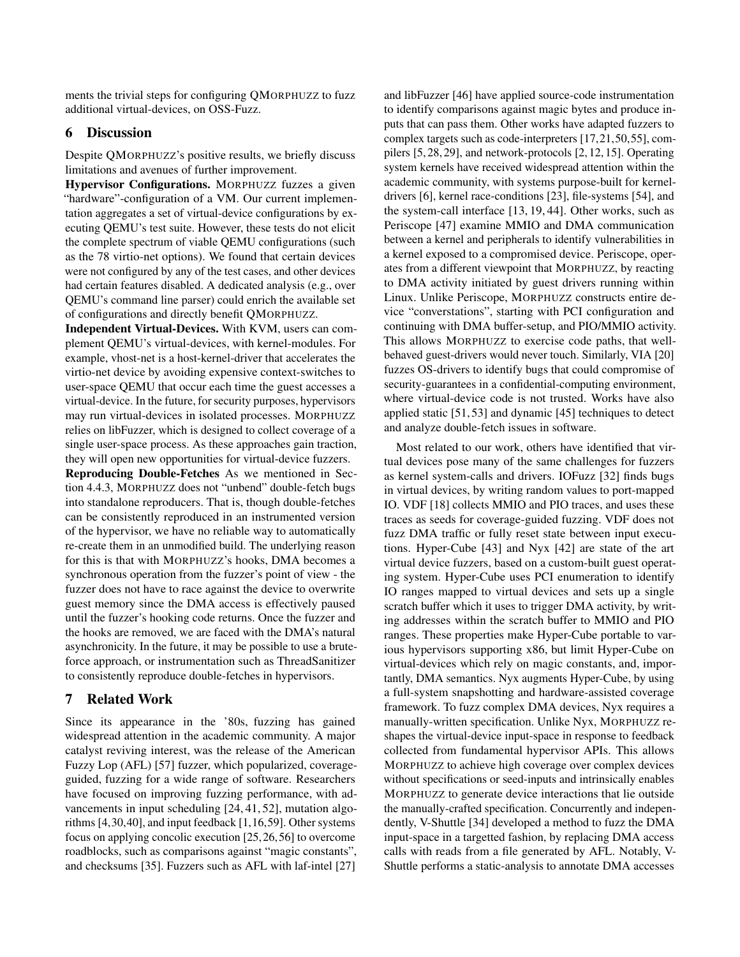ments the trivial steps for configuring QMORPHUZZ to fuzz additional virtual-devices, on OSS-Fuzz.

### 6 Discussion

Despite QMORPHUZZ's positive results, we briefly discuss limitations and avenues of further improvement.

Hypervisor Configurations. MORPHUZZ fuzzes a given "hardware"-configuration of a VM. Our current implementation aggregates a set of virtual-device configurations by executing QEMU's test suite. However, these tests do not elicit the complete spectrum of viable QEMU configurations (such as the 78 virtio-net options). We found that certain devices were not configured by any of the test cases, and other devices had certain features disabled. A dedicated analysis (e.g., over QEMU's command line parser) could enrich the available set of configurations and directly benefit QMORPHUZZ.

Independent Virtual-Devices. With KVM, users can complement QEMU's virtual-devices, with kernel-modules. For example, vhost-net is a host-kernel-driver that accelerates the virtio-net device by avoiding expensive context-switches to user-space QEMU that occur each time the guest accesses a virtual-device. In the future, for security purposes, hypervisors may run virtual-devices in isolated processes. MORPHUZZ relies on libFuzzer, which is designed to collect coverage of a single user-space process. As these approaches gain traction, they will open new opportunities for virtual-device fuzzers.

Reproducing Double-Fetches As we mentioned in Section [4.4.3,](#page-8-0) MORPHUZZ does not "unbend" double-fetch bugs into standalone reproducers. That is, though double-fetches can be consistently reproduced in an instrumented version of the hypervisor, we have no reliable way to automatically re-create them in an unmodified build. The underlying reason for this is that with MORPHUZZ's hooks, DMA becomes a synchronous operation from the fuzzer's point of view - the fuzzer does not have to race against the device to overwrite guest memory since the DMA access is effectively paused until the fuzzer's hooking code returns. Once the fuzzer and the hooks are removed, we are faced with the DMA's natural asynchronicity. In the future, it may be possible to use a bruteforce approach, or instrumentation such as ThreadSanitizer to consistently reproduce double-fetches in hypervisors.

## 7 Related Work

Since its appearance in the '80s, fuzzing has gained widespread attention in the academic community. A major catalyst reviving interest, was the release of the American Fuzzy Lop (AFL) [\[57\]](#page-15-4) fuzzer, which popularized, coverageguided, fuzzing for a wide range of software. Researchers have focused on improving fuzzing performance, with advancements in input scheduling [\[24,](#page-14-3) [41,](#page-14-13) [52\]](#page-15-10), mutation algorithms [\[4,](#page-13-6)[30,](#page-14-5)[40\]](#page-14-14), and input feedback [\[1,](#page-13-7)[16](#page-14-15)[,59\]](#page-15-11). Other systems focus on applying concolic execution [\[25,](#page-14-16)[26,](#page-14-17)[56\]](#page-15-12) to overcome roadblocks, such as comparisons against "magic constants", and checksums [\[35\]](#page-14-18). Fuzzers such as AFL with laf-intel [\[27\]](#page-14-19)

and libFuzzer [\[46\]](#page-15-13) have applied source-code instrumentation to identify comparisons against magic bytes and produce inputs that can pass them. Other works have adapted fuzzers to complex targets such as code-interpreters [\[17,](#page-14-20)[21,](#page-14-21)[50,](#page-15-2)[55\]](#page-15-14), compilers [\[5,](#page-13-8) [28,](#page-14-22) [29\]](#page-14-4), and network-protocols [\[2,](#page-13-9) [12,](#page-13-2) [15\]](#page-13-3). Operating system kernels have received widespread attention within the academic community, with systems purpose-built for kerneldrivers [\[6\]](#page-13-10), kernel race-conditions [\[23\]](#page-14-2), file-systems [\[54\]](#page-15-3), and the system-call interface [\[13,](#page-13-11) [19,](#page-14-1) [44\]](#page-15-1). Other works, such as Periscope [\[47\]](#page-15-15) examine MMIO and DMA communication between a kernel and peripherals to identify vulnerabilities in a kernel exposed to a compromised device. Periscope, operates from a different viewpoint that MORPHUZZ, by reacting to DMA activity initiated by guest drivers running within Linux. Unlike Periscope, MORPHUZZ constructs entire device "converstations", starting with PCI configuration and continuing with DMA buffer-setup, and PIO/MMIO activity. This allows MORPHUZZ to exercise code paths, that wellbehaved guest-drivers would never touch. Similarly, VIA [\[20\]](#page-14-23) fuzzes OS-drivers to identify bugs that could compromise of security-guarantees in a confidential-computing environment, where virtual-device code is not trusted. Works have also applied static [\[51,](#page-15-16) [53\]](#page-15-17) and dynamic [\[45\]](#page-15-18) techniques to detect and analyze double-fetch issues in software.

Most related to our work, others have identified that virtual devices pose many of the same challenges for fuzzers as kernel system-calls and drivers. IOFuzz [\[32\]](#page-14-6) finds bugs in virtual devices, by writing random values to port-mapped IO. VDF [\[18\]](#page-14-7) collects MMIO and PIO traces, and uses these traces as seeds for coverage-guided fuzzing. VDF does not fuzz DMA traffic or fully reset state between input executions. Hyper-Cube [\[43\]](#page-15-5) and Nyx [\[42\]](#page-15-6) are state of the art virtual device fuzzers, based on a custom-built guest operating system. Hyper-Cube uses PCI enumeration to identify IO ranges mapped to virtual devices and sets up a single scratch buffer which it uses to trigger DMA activity, by writing addresses within the scratch buffer to MMIO and PIO ranges. These properties make Hyper-Cube portable to various hypervisors supporting x86, but limit Hyper-Cube on virtual-devices which rely on magic constants, and, importantly, DMA semantics. Nyx augments Hyper-Cube, by using a full-system snapshotting and hardware-assisted coverage framework. To fuzz complex DMA devices, Nyx requires a manually-written specification. Unlike Nyx, MORPHUZZ reshapes the virtual-device input-space in response to feedback collected from fundamental hypervisor APIs. This allows MORPHUZZ to achieve high coverage over complex devices without specifications or seed-inputs and intrinsically enables MORPHUZZ to generate device interactions that lie outside the manually-crafted specification. Concurrently and independently, V-Shuttle [\[34\]](#page-14-24) developed a method to fuzz the DMA input-space in a targetted fashion, by replacing DMA access calls with reads from a file generated by AFL. Notably, V-Shuttle performs a static-analysis to annotate DMA accesses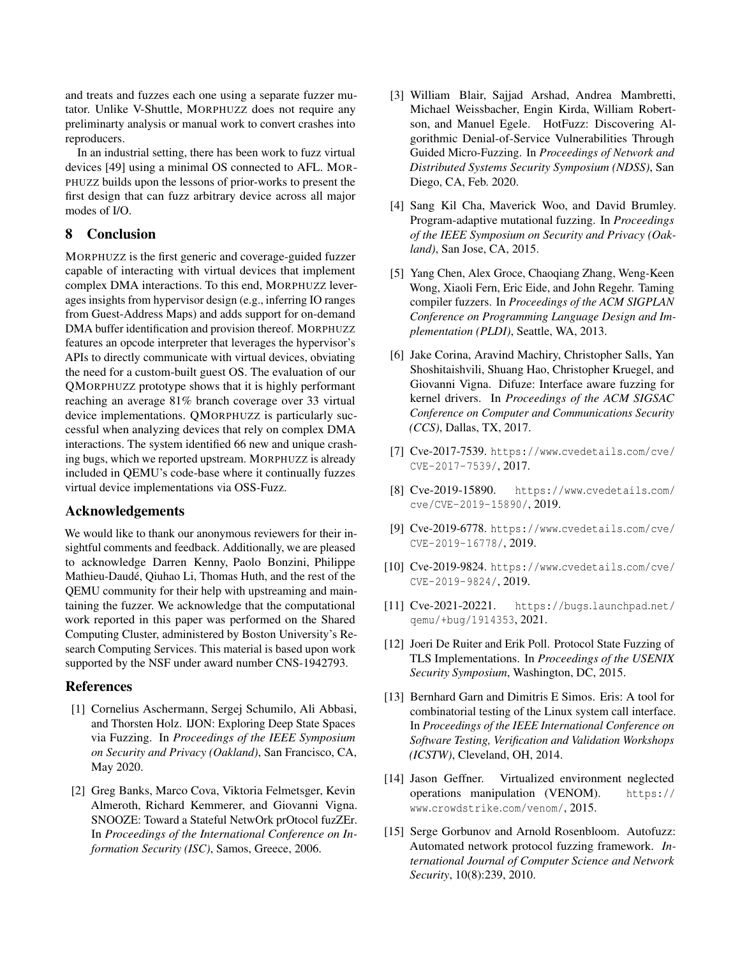and treats and fuzzes each one using a separate fuzzer mutator. Unlike V-Shuttle, MORPHUZZ does not require any preliminarty analysis or manual work to convert crashes into reproducers.

In an industrial setting, there has been work to fuzz virtual devices [\[49\]](#page-15-19) using a minimal OS connected to AFL. MOR-PHUZZ builds upon the lessons of prior-works to present the first design that can fuzz arbitrary device across all major modes of I/O.

## 8 Conclusion

MORPHUZZ is the first generic and coverage-guided fuzzer capable of interacting with virtual devices that implement complex DMA interactions. To this end, MORPHUZZ leverages insights from hypervisor design (e.g., inferring IO ranges from Guest-Address Maps) and adds support for on-demand DMA buffer identification and provision thereof. MORPHUZZ features an opcode interpreter that leverages the hypervisor's APIs to directly communicate with virtual devices, obviating the need for a custom-built guest OS. The evaluation of our QMORPHUZZ prototype shows that it is highly performant reaching an average 81% branch coverage over 33 virtual device implementations. QMORPHUZZ is particularly successful when analyzing devices that rely on complex DMA interactions. The system identified 66 new and unique crashing bugs, which we reported upstream. MORPHUZZ is already included in QEMU's code-base where it continually fuzzes virtual device implementations via OSS-Fuzz.

## Acknowledgements

We would like to thank our anonymous reviewers for their insightful comments and feedback. Additionally, we are pleased to acknowledge Darren Kenny, Paolo Bonzini, Philippe Mathieu-Daudé, Qiuhao Li, Thomas Huth, and the rest of the QEMU community for their help with upstreaming and maintaining the fuzzer. We acknowledge that the computational work reported in this paper was performed on the Shared Computing Cluster, administered by Boston University's Research Computing Services. This material is based upon work supported by the NSF under award number CNS-1942793.

### References

- <span id="page-13-7"></span>[1] Cornelius Aschermann, Sergej Schumilo, Ali Abbasi, and Thorsten Holz. IJON: Exploring Deep State Spaces via Fuzzing. In *Proceedings of the IEEE Symposium on Security and Privacy (Oakland)*, San Francisco, CA, May 2020.
- <span id="page-13-9"></span>[2] Greg Banks, Marco Cova, Viktoria Felmetsger, Kevin Almeroth, Richard Kemmerer, and Giovanni Vigna. SNOOZE: Toward a Stateful NetwOrk prOtocol fuzZEr. In *Proceedings of the International Conference on Information Security (ISC)*, Samos, Greece, 2006.
- <span id="page-13-1"></span>[3] William Blair, Sajjad Arshad, Andrea Mambretti, Michael Weissbacher, Engin Kirda, William Robertson, and Manuel Egele. HotFuzz: Discovering Algorithmic Denial-of-Service Vulnerabilities Through Guided Micro-Fuzzing. In *Proceedings of Network and Distributed Systems Security Symposium (NDSS)*, San Diego, CA, Feb. 2020.
- <span id="page-13-6"></span>[4] Sang Kil Cha, Maverick Woo, and David Brumley. Program-adaptive mutational fuzzing. In *Proceedings of the IEEE Symposium on Security and Privacy (Oakland)*, San Jose, CA, 2015.
- <span id="page-13-8"></span>[5] Yang Chen, Alex Groce, Chaoqiang Zhang, Weng-Keen Wong, Xiaoli Fern, Eric Eide, and John Regehr. Taming compiler fuzzers. In *Proceedings of the ACM SIGPLAN Conference on Programming Language Design and Implementation (PLDI)*, Seattle, WA, 2013.
- <span id="page-13-10"></span>[6] Jake Corina, Aravind Machiry, Christopher Salls, Yan Shoshitaishvili, Shuang Hao, Christopher Kruegel, and Giovanni Vigna. Difuze: Interface aware fuzzing for kernel drivers. In *Proceedings of the ACM SIGSAC Conference on Computer and Communications Security (CCS)*, Dallas, TX, 2017.
- <span id="page-13-4"></span>[7] Cve-2017-7539. [https://www](https://www.cvedetails.com/cve/CVE-2017-7539/).cvedetails.com/cve/ [CVE-2017-7539/](https://www.cvedetails.com/cve/CVE-2017-7539/), 2017.
- [8] Cve-2019-15890. [https://www](https://www.cvedetails.com/cve/CVE-2019-15890/).cvedetails.com/ [cve/CVE-2019-15890/](https://www.cvedetails.com/cve/CVE-2019-15890/), 2019.
- [9] Cve-2019-6778. [https://www](https://www.cvedetails.com/cve/CVE-2019-16778/).cvedetails.com/cve/ [CVE-2019-16778/](https://www.cvedetails.com/cve/CVE-2019-16778/), 2019.
- [10] Cve-2019-9824. [https://www](https://www.cvedetails.com/cve/CVE-2019-9824/).cvedetails.com/cve/ [CVE-2019-9824/](https://www.cvedetails.com/cve/CVE-2019-9824/), 2019.
- <span id="page-13-5"></span>[11] Cve-2021-20221. [https://bugs](https://bugs.launchpad.net/qemu/+bug/1914353).launchpad.net/ [qemu/+bug/1914353](https://bugs.launchpad.net/qemu/+bug/1914353), 2021.
- <span id="page-13-2"></span>[12] Joeri De Ruiter and Erik Poll. Protocol State Fuzzing of TLS Implementations. In *Proceedings of the USENIX Security Symposium*, Washington, DC, 2015.
- <span id="page-13-11"></span>[13] Bernhard Garn and Dimitris E Simos. Eris: A tool for combinatorial testing of the Linux system call interface. In *Proceedings of the IEEE International Conference on Software Testing, Verification and Validation Workshops (ICSTW)*, Cleveland, OH, 2014.
- <span id="page-13-0"></span>[14] Jason Geffner. Virtualized environment neglected operations manipulation (VENOM). [https://](https://www.crowdstrike.com/venom/) www.[crowdstrike](https://www.crowdstrike.com/venom/).com/venom/, 2015.
- <span id="page-13-3"></span>[15] Serge Gorbunov and Arnold Rosenbloom. Autofuzz: Automated network protocol fuzzing framework. *International Journal of Computer Science and Network Security*, 10(8):239, 2010.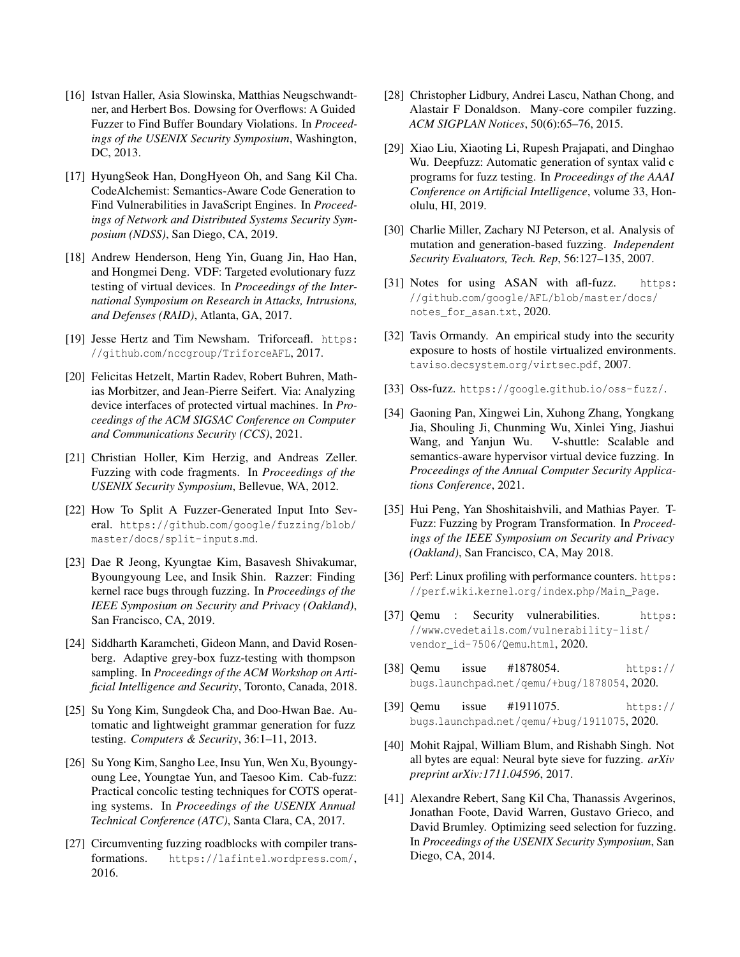- <span id="page-14-15"></span>[16] Istvan Haller, Asia Slowinska, Matthias Neugschwandtner, and Herbert Bos. Dowsing for Overflows: A Guided Fuzzer to Find Buffer Boundary Violations. In *Proceedings of the USENIX Security Symposium*, Washington, DC, 2013.
- <span id="page-14-20"></span>[17] HyungSeok Han, DongHyeon Oh, and Sang Kil Cha. CodeAlchemist: Semantics-Aware Code Generation to Find Vulnerabilities in JavaScript Engines. In *Proceedings of Network and Distributed Systems Security Symposium (NDSS)*, San Diego, CA, 2019.
- <span id="page-14-7"></span>[18] Andrew Henderson, Heng Yin, Guang Jin, Hao Han, and Hongmei Deng. VDF: Targeted evolutionary fuzz testing of virtual devices. In *Proceedings of the International Symposium on Research in Attacks, Intrusions, and Defenses (RAID)*, Atlanta, GA, 2017.
- <span id="page-14-1"></span>[19] Jesse Hertz and Tim Newsham. Triforceafl. [https:](https://github.com/nccgroup/TriforceAFL) //github.[com/nccgroup/TriforceAFL](https://github.com/nccgroup/TriforceAFL), 2017.
- <span id="page-14-23"></span>[20] Felicitas Hetzelt, Martin Radev, Robert Buhren, Mathias Morbitzer, and Jean-Pierre Seifert. Via: Analyzing device interfaces of protected virtual machines. In *Proceedings of the ACM SIGSAC Conference on Computer and Communications Security (CCS)*, 2021.
- <span id="page-14-21"></span>[21] Christian Holler, Kim Herzig, and Andreas Zeller. Fuzzing with code fragments. In *Proceedings of the USENIX Security Symposium*, Bellevue, WA, 2012.
- <span id="page-14-11"></span>[22] How To Split A Fuzzer-Generated Input Into Several. https://github.[com/google/fuzzing/blob/](https://github.com/google/fuzzing/blob/master/docs/split-inputs.md) [master/docs/split-inputs](https://github.com/google/fuzzing/blob/master/docs/split-inputs.md).md.
- <span id="page-14-2"></span>[23] Dae R Jeong, Kyungtae Kim, Basavesh Shivakumar, Byoungyoung Lee, and Insik Shin. Razzer: Finding kernel race bugs through fuzzing. In *Proceedings of the IEEE Symposium on Security and Privacy (Oakland)*, San Francisco, CA, 2019.
- <span id="page-14-3"></span>[24] Siddharth Karamcheti, Gideon Mann, and David Rosenberg. Adaptive grey-box fuzz-testing with thompson sampling. In *Proceedings of the ACM Workshop on Artificial Intelligence and Security*, Toronto, Canada, 2018.
- <span id="page-14-16"></span>[25] Su Yong Kim, Sungdeok Cha, and Doo-Hwan Bae. Automatic and lightweight grammar generation for fuzz testing. *Computers & Security*, 36:1–11, 2013.
- <span id="page-14-17"></span>[26] Su Yong Kim, Sangho Lee, Insu Yun, Wen Xu, Byoungyoung Lee, Youngtae Yun, and Taesoo Kim. Cab-fuzz: Practical concolic testing techniques for COTS operating systems. In *Proceedings of the USENIX Annual Technical Conference (ATC)*, Santa Clara, CA, 2017.
- <span id="page-14-19"></span>[27] Circumventing fuzzing roadblocks with compiler transformations. [https://lafintel](https://lafintel.wordpress.com/).wordpress.com/, 2016.
- <span id="page-14-22"></span>[28] Christopher Lidbury, Andrei Lascu, Nathan Chong, and Alastair F Donaldson. Many-core compiler fuzzing. *ACM SIGPLAN Notices*, 50(6):65–76, 2015.
- <span id="page-14-4"></span>[29] Xiao Liu, Xiaoting Li, Rupesh Prajapati, and Dinghao Wu. Deepfuzz: Automatic generation of syntax valid c programs for fuzz testing. In *Proceedings of the AAAI Conference on Artificial Intelligence*, volume 33, Honolulu, HI, 2019.
- <span id="page-14-5"></span>[30] Charlie Miller, Zachary NJ Peterson, et al. Analysis of mutation and generation-based fuzzing. *Independent Security Evaluators, Tech. Rep*, 56:127–135, 2007.
- <span id="page-14-12"></span>[31] Notes for using ASAN with afl-fuzz. [https:](https://github.com/google/AFL/blob/master/docs/notes_for_asan.txt) //github.[com/google/AFL/blob/master/docs/](https://github.com/google/AFL/blob/master/docs/notes_for_asan.txt) [notes\\_for\\_asan](https://github.com/google/AFL/blob/master/docs/notes_for_asan.txt).txt, 2020.
- <span id="page-14-6"></span>[32] Tavis Ormandy. An empirical study into the security exposure to hosts of hostile virtualized environments. taviso.decsystem.[org/virtsec](taviso.decsystem.org/virtsec.pdf).pdf, 2007.
- <span id="page-14-8"></span>[33] Oss-fuzz. [https://google](https://google.github.io/oss-fuzz/).github.io/oss-fuzz/.
- <span id="page-14-24"></span>[34] Gaoning Pan, Xingwei Lin, Xuhong Zhang, Yongkang Jia, Shouling Ji, Chunming Wu, Xinlei Ying, Jiashui Wang, and Yanjun Wu. V-shuttle: Scalable and semantics-aware hypervisor virtual device fuzzing. In *Proceedings of the Annual Computer Security Applications Conference*, 2021.
- <span id="page-14-18"></span>[35] Hui Peng, Yan Shoshitaishvili, and Mathias Payer. T-Fuzz: Fuzzing by Program Transformation. In *Proceedings of the IEEE Symposium on Security and Privacy (Oakland)*, San Francisco, CA, May 2018.
- <span id="page-14-25"></span>[36] Perf: Linux profiling with performance counters. [https:](https://perf.wiki.kernel.org/index.php/Main_Page) //perf.wiki.kernel.org/index.[php/Main\\_Page](https://perf.wiki.kernel.org/index.php/Main_Page).
- <span id="page-14-0"></span>[37] Qemu : Security vulnerabilities. [https:](https://www.cvedetails.com/vulnerability-list/vendor_id-7506/Qemu.html) //www.cvedetails.[com/vulnerability-list/](https://www.cvedetails.com/vulnerability-list/vendor_id-7506/Qemu.html) [vendor\\_id-7506/Qemu](https://www.cvedetails.com/vulnerability-list/vendor_id-7506/Qemu.html).html, 2020.
- <span id="page-14-9"></span>[38] Qemu issue #1878054. [https://](https://bugs.launchpad.net/qemu/+bug/1878054) bugs.launchpad.[net/qemu/+bug/1878054](https://bugs.launchpad.net/qemu/+bug/1878054), 2020.
- <span id="page-14-10"></span>[39] Qemu issue #1911075. [https://](https://bugs.launchpad.net/qemu/+bug/1911075) bugs.launchpad.[net/qemu/+bug/1911075](https://bugs.launchpad.net/qemu/+bug/1911075), 2020.
- <span id="page-14-14"></span>[40] Mohit Rajpal, William Blum, and Rishabh Singh. Not all bytes are equal: Neural byte sieve for fuzzing. *arXiv preprint arXiv:1711.04596*, 2017.
- <span id="page-14-13"></span>[41] Alexandre Rebert, Sang Kil Cha, Thanassis Avgerinos, Jonathan Foote, David Warren, Gustavo Grieco, and David Brumley. Optimizing seed selection for fuzzing. In *Proceedings of the USENIX Security Symposium*, San Diego, CA, 2014.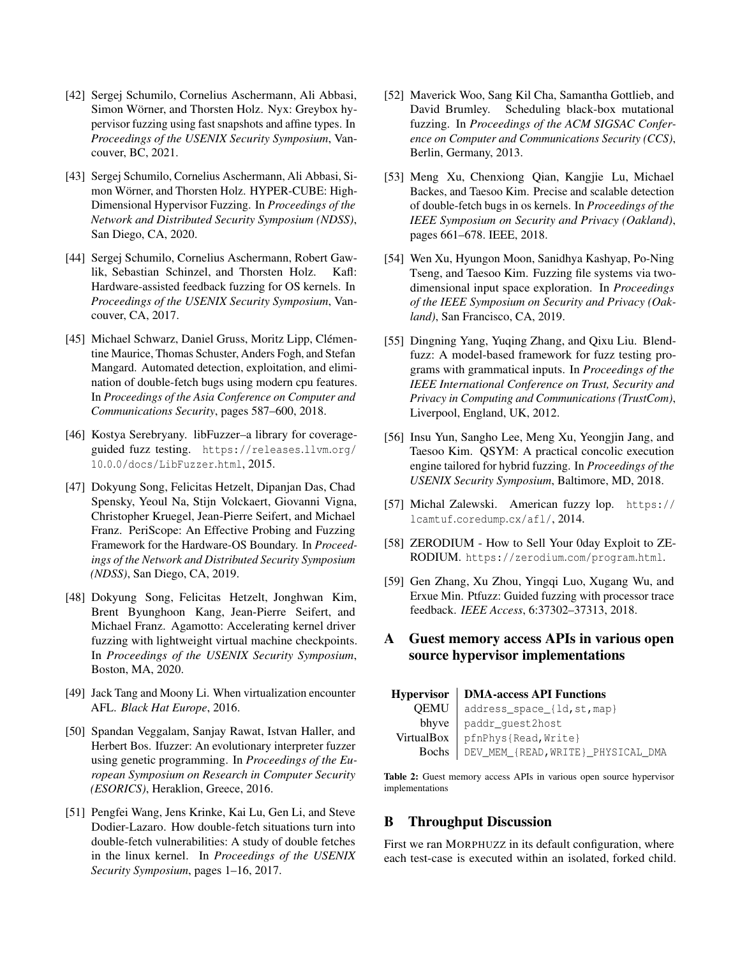- <span id="page-15-6"></span>[42] Sergej Schumilo, Cornelius Aschermann, Ali Abbasi, Simon Wörner, and Thorsten Holz. Nyx: Greybox hypervisor fuzzing using fast snapshots and affine types. In *Proceedings of the USENIX Security Symposium*, Vancouver, BC, 2021.
- <span id="page-15-5"></span>[43] Sergej Schumilo, Cornelius Aschermann, Ali Abbasi, Simon Wörner, and Thorsten Holz. HYPER-CUBE: High-Dimensional Hypervisor Fuzzing. In *Proceedings of the Network and Distributed Security Symposium (NDSS)*, San Diego, CA, 2020.
- <span id="page-15-1"></span>[44] Sergej Schumilo, Cornelius Aschermann, Robert Gawlik, Sebastian Schinzel, and Thorsten Holz. Kafl: Hardware-assisted feedback fuzzing for OS kernels. In *Proceedings of the USENIX Security Symposium*, Vancouver, CA, 2017.
- <span id="page-15-18"></span>[45] Michael Schwarz, Daniel Gruss, Moritz Lipp, Clémentine Maurice, Thomas Schuster, Anders Fogh, and Stefan Mangard. Automated detection, exploitation, and elimination of double-fetch bugs using modern cpu features. In *Proceedings of the Asia Conference on Computer and Communications Security*, pages 587–600, 2018.
- <span id="page-15-13"></span>[46] Kostya Serebryany. libFuzzer–a library for coverageguided fuzz testing. [https://releases](https://releases.llvm.org/10.0.0/docs/LibFuzzer.html).llvm.org/ 10.0.[0/docs/LibFuzzer](https://releases.llvm.org/10.0.0/docs/LibFuzzer.html).html, 2015.
- <span id="page-15-15"></span>[47] Dokyung Song, Felicitas Hetzelt, Dipanjan Das, Chad Spensky, Yeoul Na, Stijn Volckaert, Giovanni Vigna, Christopher Kruegel, Jean-Pierre Seifert, and Michael Franz. PeriScope: An Effective Probing and Fuzzing Framework for the Hardware-OS Boundary. In *Proceedings of the Network and Distributed Security Symposium (NDSS)*, San Diego, CA, 2019.
- <span id="page-15-7"></span>[48] Dokyung Song, Felicitas Hetzelt, Jonghwan Kim, Brent Byunghoon Kang, Jean-Pierre Seifert, and Michael Franz. Agamotto: Accelerating kernel driver fuzzing with lightweight virtual machine checkpoints. In *Proceedings of the USENIX Security Symposium*, Boston, MA, 2020.
- <span id="page-15-19"></span>[49] Jack Tang and Moony Li. When virtualization encounter AFL. *Black Hat Europe*, 2016.
- <span id="page-15-2"></span>[50] Spandan Veggalam, Sanjay Rawat, Istvan Haller, and Herbert Bos. Ifuzzer: An evolutionary interpreter fuzzer using genetic programming. In *Proceedings of the European Symposium on Research in Computer Security (ESORICS)*, Heraklion, Greece, 2016.
- <span id="page-15-16"></span>[51] Pengfei Wang, Jens Krinke, Kai Lu, Gen Li, and Steve Dodier-Lazaro. How double-fetch situations turn into double-fetch vulnerabilities: A study of double fetches in the linux kernel. In *Proceedings of the USENIX Security Symposium*, pages 1–16, 2017.
- <span id="page-15-10"></span>[52] Maverick Woo, Sang Kil Cha, Samantha Gottlieb, and David Brumley. Scheduling black-box mutational fuzzing. In *Proceedings of the ACM SIGSAC Conference on Computer and Communications Security (CCS)*, Berlin, Germany, 2013.
- <span id="page-15-17"></span>[53] Meng Xu, Chenxiong Qian, Kangjie Lu, Michael Backes, and Taesoo Kim. Precise and scalable detection of double-fetch bugs in os kernels. In *Proceedings of the IEEE Symposium on Security and Privacy (Oakland)*, pages 661–678. IEEE, 2018.
- <span id="page-15-3"></span>[54] Wen Xu, Hyungon Moon, Sanidhya Kashyap, Po-Ning Tseng, and Taesoo Kim. Fuzzing file systems via twodimensional input space exploration. In *Proceedings of the IEEE Symposium on Security and Privacy (Oakland)*, San Francisco, CA, 2019.
- <span id="page-15-14"></span>[55] Dingning Yang, Yuqing Zhang, and Oixu Liu. Blendfuzz: A model-based framework for fuzz testing programs with grammatical inputs. In *Proceedings of the IEEE International Conference on Trust, Security and Privacy in Computing and Communications (TrustCom)*, Liverpool, England, UK, 2012.
- <span id="page-15-12"></span>[56] Insu Yun, Sangho Lee, Meng Xu, Yeongjin Jang, and Taesoo Kim. QSYM: A practical concolic execution engine tailored for hybrid fuzzing. In *Proceedings of the USENIX Security Symposium*, Baltimore, MD, 2018.
- <span id="page-15-4"></span>[57] Michal Zalewski. American fuzzy lop. [https://](https://lcamtuf.coredump.cx/afl/) lcamtuf.[coredump](https://lcamtuf.coredump.cx/afl/).cx/afl/, 2014.
- <span id="page-15-0"></span>[58] ZERODIUM - How to Sell Your 0day Exploit to ZE-RODIUM. [https://zerodium](https://zerodium.com/program.html).com/program.html.
- <span id="page-15-11"></span>[59] Gen Zhang, Xu Zhou, Yingqi Luo, Xugang Wu, and Erxue Min. Ptfuzz: Guided fuzzing with processor trace feedback. *IEEE Access*, 6:37302–37313, 2018.
- A Guest memory access APIs in various open source hypervisor implementations

<span id="page-15-8"></span>

| Hypervisor   DMA-access API Functions      |  |  |  |  |
|--------------------------------------------|--|--|--|--|
| QEMU   address_space_{ld, st, map}         |  |  |  |  |
| $b$ hyve   paddr_quest2host                |  |  |  |  |
| VirtualBox   pfnPhys{Read, Write}          |  |  |  |  |
| Bochs   DEV_MEM_{READ, WRITE}_PHYSICAL_DMA |  |  |  |  |

Table 2: Guest memory access APIs in various open source hypervisor implementations

## <span id="page-15-9"></span>B Throughput Discussion

First we ran MORPHUZZ in its default configuration, where each test-case is executed within an isolated, forked child.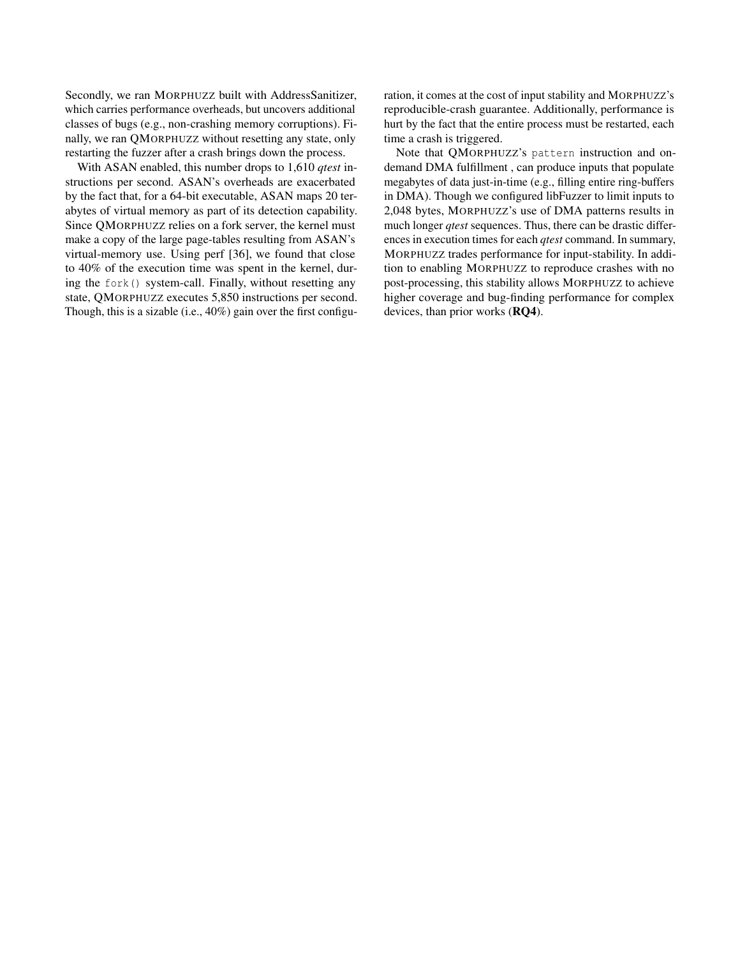Secondly, we ran MORPHUZZ built with AddressSanitizer, which carries performance overheads, but uncovers additional classes of bugs (e.g., non-crashing memory corruptions). Finally, we ran QMORPHUZZ without resetting any state, only restarting the fuzzer after a crash brings down the process.

With ASAN enabled, this number drops to 1,610 *qtest* instructions per second. ASAN's overheads are exacerbated by the fact that, for a 64-bit executable, ASAN maps 20 terabytes of virtual memory as part of its detection capability. Since QMORPHUZZ relies on a fork server, the kernel must make a copy of the large page-tables resulting from ASAN's virtual-memory use. Using perf [\[36\]](#page-14-25), we found that close to 40% of the execution time was spent in the kernel, during the fork() system-call. Finally, without resetting any state, QMORPHUZZ executes 5,850 instructions per second. Though, this is a sizable (i.e., 40%) gain over the first configuration, it comes at the cost of input stability and MORPHUZZ's reproducible-crash guarantee. Additionally, performance is hurt by the fact that the entire process must be restarted, each time a crash is triggered.

Note that QMORPHUZZ's pattern instruction and ondemand DMA fulfillment , can produce inputs that populate megabytes of data just-in-time (e.g., filling entire ring-buffers in DMA). Though we configured libFuzzer to limit inputs to 2,048 bytes, MORPHUZZ's use of DMA patterns results in much longer *qtest* sequences. Thus, there can be drastic differences in execution times for each *qtest* command. In summary, MORPHUZZ trades performance for input-stability. In addition to enabling MORPHUZZ to reproduce crashes with no post-processing, this stability allows MORPHUZZ to achieve higher coverage and bug-finding performance for complex devices, than prior works (RQ4).